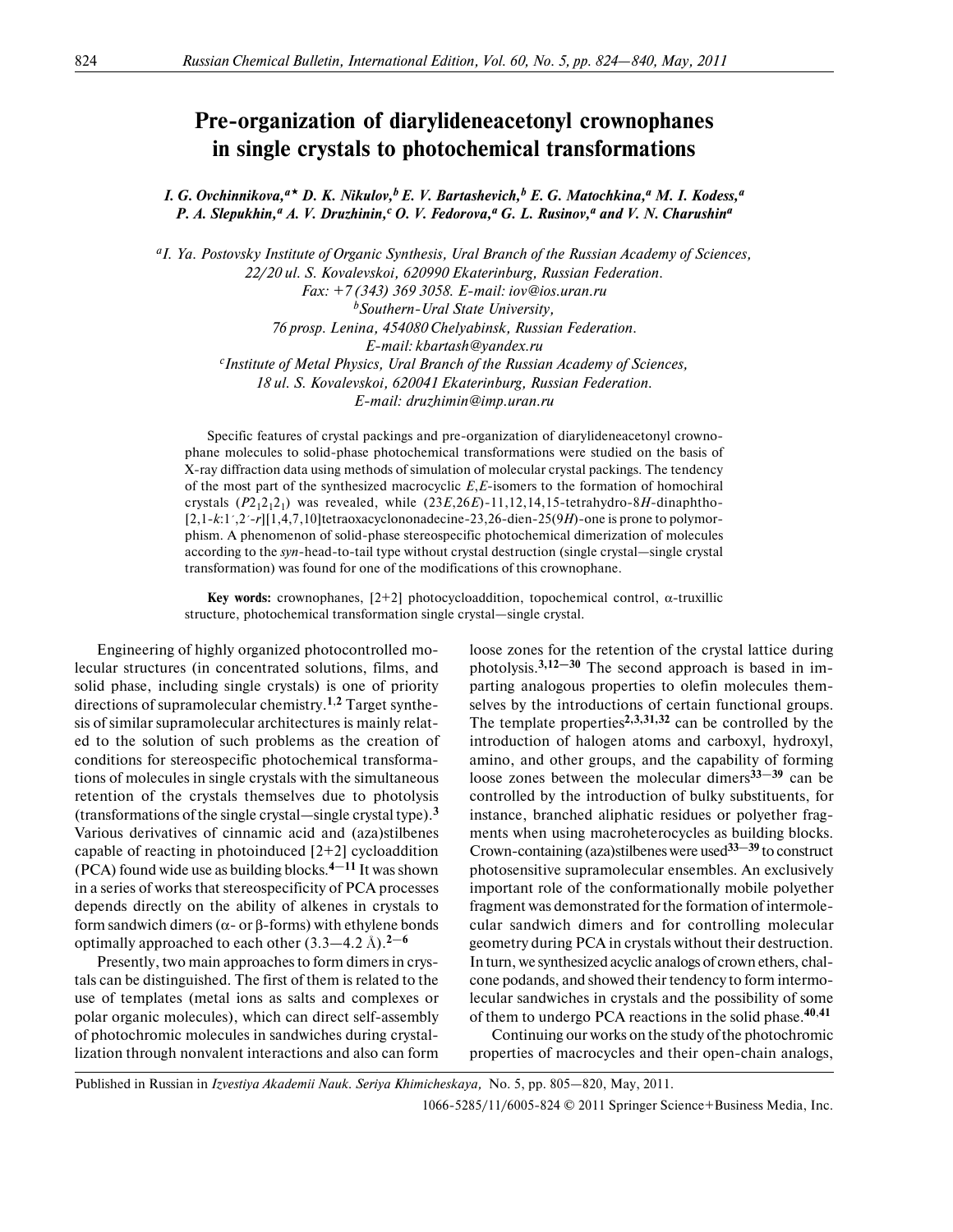## **Pre-organization of diarylideneacetonyl crownophanes in single crystals to photochemical transformations**

*I. G. Ovchinnikova,<sup>a</sup> D. K. Nikulov,b E. V. Bartashevich,b E. G. Matochkina,a M. I. Kodess,a* P. A. Slepukhin,<sup>*a*</sup> A. V. Druzhinin,<sup>c</sup> O. V. Fedorova,<sup>a</sup> G. L. Rusinov,<sup>a</sup> and V. N. Charushin<sup>a</sup>

*aI. Ya. Postovsky Institute of Organic Synthesis, Ural Branch of the Russian Academy of Sciences, 22/20 ul. S. Kovalevskoi, 620990 Ekaterinburg, Russian Federation. Fax: +7 (343) 369 3058. E-mail: iov@ios.uran.ru bSouthern-Ural State University, 76 prosp. Lenina, 454080 Chelyabinsk, Russian Federation. E-mail: kbartash@yandex.ru c Institute of Metal Physics, Ural Branch of the Russian Academy of Sciences, 18 ul. S. Kovalevskoi, 620041 Ekaterinburg, Russian Federation. E-mail: druzhimin@imp.uran.ru*

Specific features of crystal packings and pre-organization of diarylideneacetonyl crowno phane molecules to solid-phase photochemical transformations were studied on the basis of X-ray diffraction data using methods of simulation of molecular crystal packings. The tendency of the most part of the synthesized macrocyclic *E*,*E*-isomers to the formation of homochiral crystals ( $P2_12_12_1$ ) was revealed, while (23*E*,26*E*)-11,12,14,15-tetrahydro-8*H*-dinaphtho-[2,1-*k*:1´,2´-*r*][1,4,7,10]tetraoxacyclononadecine-23,26-dien-25(9*H*)-one is prone to polymorphism. A phenomenon of solid-phase stereospecific photochemical dimerization of molecules according to the *syn*-head-to-tail type without crystal destruction (single crystal—single crystal transformation) was found for one of the modifications of this crownophane.

**Key words:** crownophanes,  $[2+2]$  photocycloaddition, topochemical control,  $\alpha$ -truxillic structure, photochemical transformation single crystal—single crystal.

Engineering of highly organized photocontrolled mo lecular structures (in concentrated solutions, films, and solid phase, including single crystals) is one of priority directions of supramolecular chemistry.**1**,**2** Target synthe sis of similar supramolecular architectures is mainly relat ed to the solution of such problems as the creation of conditions for stereospecific photochemical transforma tions of molecules in single crystals with the simultaneous retention of the crystals themselves due to photolysis (transformations of the single crystal—single crystal type).**<sup>3</sup>** Various derivatives of cinnamic acid and (aza)stilbenes capable of reacting in photoinduced  $[2+2]$  cycloaddition (PCA) found wide use as building blocks.**4**—**11** It was shown in a series of works that stereospecificity of PCA processes depends directly on the ability of alkenes in crystals to form sandwich dimers (α- or β-forms) with ethylene bonds optimally approached to each other  $(3.3-4.2 \text{ Å})$ .<sup>2-6</sup>

Presently, two main approaches to form dimers in crys tals can be distinguished. The first of them is related to the use of templates (metal ions as salts and complexes or polar organic molecules), which can direct self-assembly of photochromic molecules in sandwiches during crystal lization through nonvalent interactions and also can form

loose zones for the retention of the crystal lattice during photolysis.**3,12—30** The second approach is based in im parting analogous properties to olefin molecules them selves by the introductions of certain functional groups. The template properties**2,3,31,32** can be controlled by the introduction of halogen atoms and carboxyl, hydroxyl, amino, and other groups, and the capability of forming loose zones between the molecular dimers**33**—**39** can be controlled by the introduction of bulky substituents, for instance, branched aliphatic residues or polyether frag ments when using macroheterocycles as building blocks. Crown-containing (aza)stilbenes were used**33**—**39** to construct photosensitive supramolecular ensembles. An exclusively important role of the conformationally mobile polyether fragment was demonstrated for the formation of intermole cular sandwich dimers and for controlling molecular geometry during PCA in crystals without their destruction. In turn, we synthesized acyclic analogs of crown ethers, chal cone podands, and showed their tendency to form intermo lecular sandwiches in crystals and the possibility of some of them to undergo PCA reactions in the solid phase.**40**,**<sup>41</sup>**

Continuing our works on the study of the photochromic properties of macrocycles and their open-chain analogs,

Published in Russian in *Izvestiya Akademii Nauk. Seriya Khimicheskaya,* No. 5, pp. 805—820, May, 2011. 1066-5285/11/6005-824 © 2011 Springer Science+Business Media, Inc.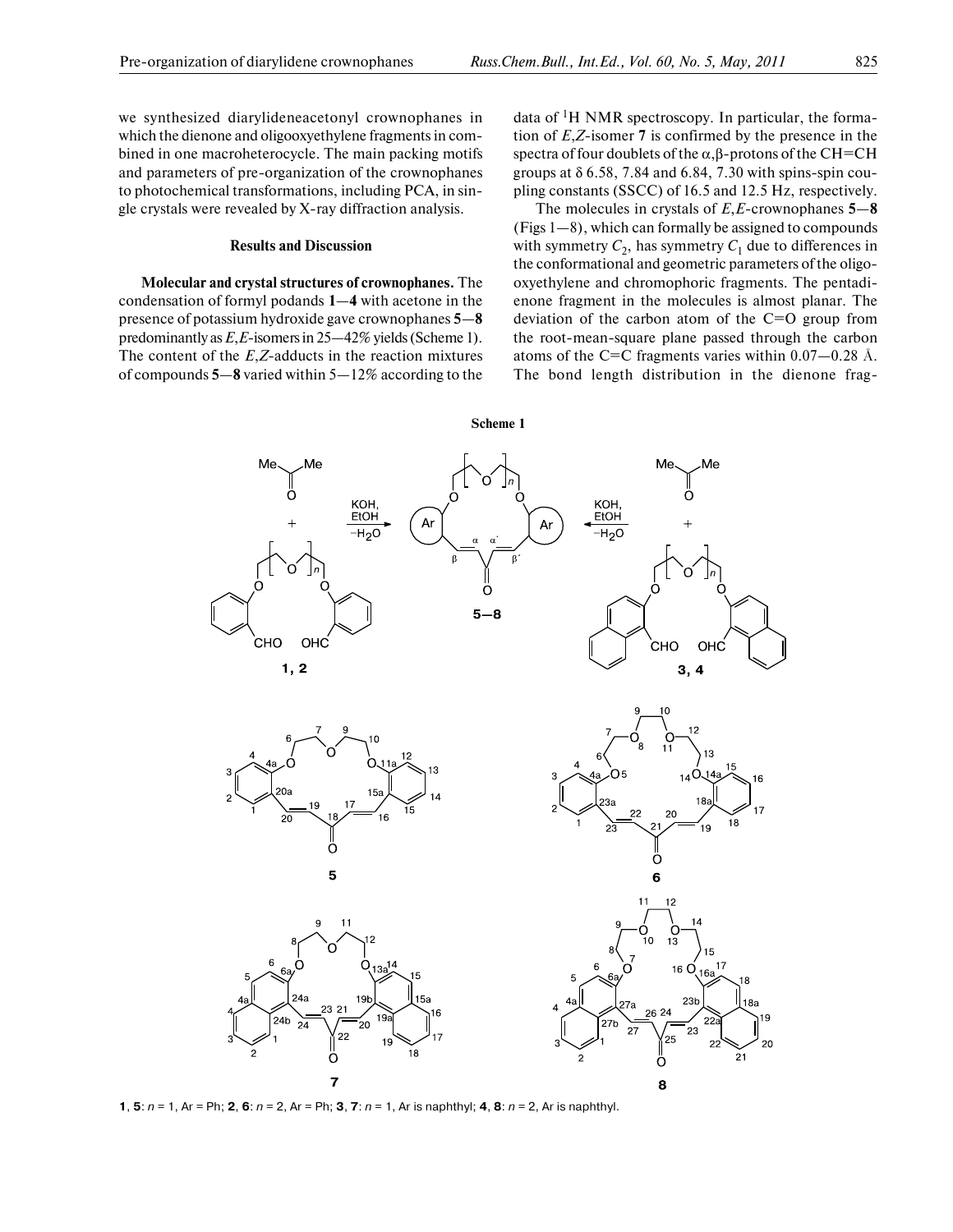we synthesized diarylideneacetonyl crownophanes in which the dienone and oligooxyethylene fragments in com bined in one macroheterocycle. The main packing motifs and parameters of pre-organization of the crownophanes to photochemical transformations, including PCA, in sin gle crystals were revealed by X-ray diffraction analysis.

## **Results and Discussion**

**Molecular and crystal structures of crownophanes.** The condensation of formyl podands **1**—**4** with acetone in the presence of potassium hydroxide gave crownophanes **5**—**8** predominantly as *Е*,*Е*-isomers in 25—42% yields (Scheme 1). The content of the *Е*,*Z*-adducts in the reaction mixtures of compounds **5**—**8** varied within 5—12% according to the

data of <sup>1</sup>H NMR spectroscopy. In particular, the formation of *Е*,*Z*-isomer **7** is confirmed by the presence in the spectra of four doublets of the α,β-protons of the СН=СН groups at δ 6.58, 7.84 and 6.84, 7.30 with spins-spin cou pling constants (SSCC) of 16.5 and 12.5 Hz, respectively.

The molecules in crystals of *E*,*E*-crownophanes **5**—**8** (Figs 1—8), which can formally be assigned to compounds with symmetry  $C_2$ , has symmetry  $C_1$  due to differences in the conformational and geometric parameters of the oligo oxyethylene and chromophoric fragments. The pentadi enone fragment in the molecules is almost planar. The deviation of the carbon atom of the  $C=O$  group from the root-mean-square plane passed through the carbon atoms of the C=C fragments varies within  $0.07 - 0.28$  Å. The bond length distribution in the dienone frag-



**1**, **5**: n = 1, Ar = Ph; **2**, **6**: n = 2, Ar = Ph; **3**, **7**: n = 1, Ar is naphthyl; **4**, **8**: n = 2, Ar is naphthyl.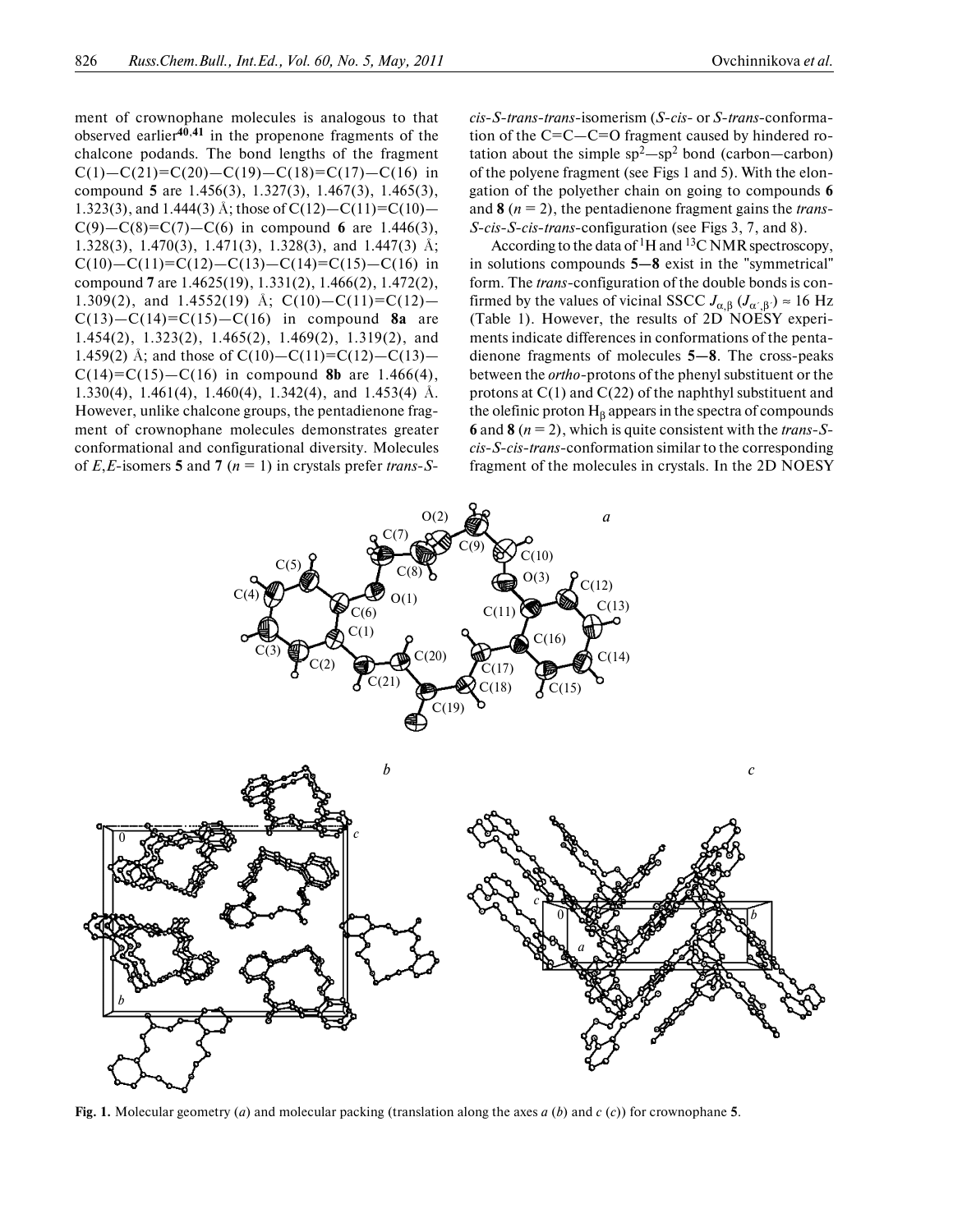ment of crownophane molecules is analogous to that observed earlier**40**,**41** in the propenone fragments of the chalcone podands. The bond lengths of the fragment  $C(1) - C(21) = C(20) - C(19) - C(18) = C(17) - C(16)$  in compound **5** are 1.456(3), 1.327(3), 1.467(3), 1.465(3), 1.323(3), and 1.444(3) Å; those of  $C(12) - C(11) = C(10) C(9) - C(8) = C(7) - C(6)$  in compound 6 are 1.446(3), 1.328(3), 1.470(3), 1.471(3), 1.328(3), and 1.447(3) Å; C(10)—C(11)=C(12)—C(13)—C(14)=C(15)—C(16) in compound **7** are 1.4625(19), 1.331(2), 1.466(2), 1.472(2), 1.309(2), and 1.4552(19) Å; C(10)-C(11)=C(12)-С(13)—С(14)=С(15)—С(16) in compound **8a** are 1.454(2), 1.323(2), 1.465(2), 1.469(2), 1.319(2), and 1.459(2) Å; and those of  $C(10) - C(11) = C(12) - C(13)$  $C(14)=C(15)-C(16)$  in compound 8b are 1.466(4), 1.330(4), 1.461(4), 1.460(4), 1.342(4), and 1.453(4) Å. However, unlike chalcone groups, the pentadienone frag ment of crownophane molecules demonstrates greater conformational and configurational diversity. Molecules of *Е*,*Е*-isomers **5** and **7** (*n* = 1) in crystals prefer *trans*-*S*-

*cis*-*S*-*trans*-*trans*-isomerism (*S*-*cis*- or *S*-*trans*-conforma tion of the  $C=C-C=O$  fragment caused by hindered rotation about the simple  $sp^2$ —sp<sup>2</sup> bond (carbon—carbon) of the polyene fragment (see Figs 1 and 5). With the elon gation of the polyether chain on going to compounds **6** and **8** (*n* = 2), the pentadienone fragment gains the *trans*- *S*-*cis*-*S*-*cis*-*trans*-configuration (see Figs 3, 7, and 8).

According to the data of <sup>1</sup>H and <sup>13</sup>C NMR spectroscopy, in solutions compounds **5—8** exist in the "symmetrical" form. The *trans-*configuration of the double bonds is con firmed by the values of vicinal SSCC  $J_{\alpha, \beta}$  ( $J_{\alpha', \beta'}$ ) ≈ 16 Hz (Table 1). However, the results of 2D NOESY experi ments indicate differences in conformations of the penta dienone fragments of molecules **5—8**. The cross-peaks between the *ortho*-protons of the phenyl substituent or the protons at С(1) and С(22) of the naphthyl substituent and the olefinic proton  $H_\beta$  appears in the spectra of compounds **6** and **8**  $(n = 2)$ , which is quite consistent with the *trans-Scis*-*S*-*cis*-*trans*-conformation similar to the corresponding fragment of the molecules in crystals. In the 2D NOESY



**Fig. 1.** Molecular geometry (*a*) and molecular packing (translation along the axes *a* (*b*) and *с* (*c*)) for crownophane **5**.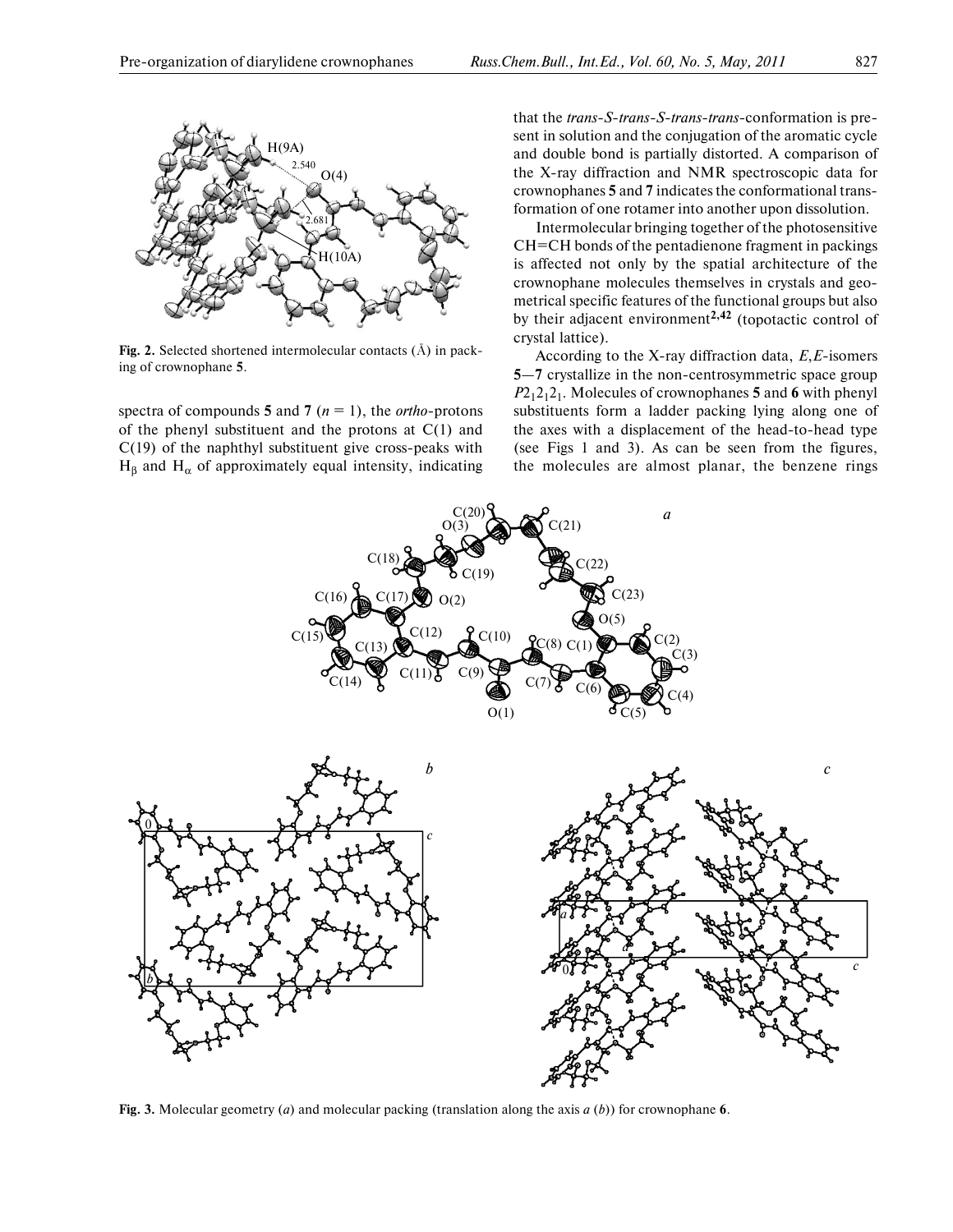

**Fig. 2.** Selected shortened intermolecular contacts (Å) in pack ing of crownophane **5**.

spectra of compounds **5** and **7** (*n* = 1), the *ortho*-protons of the phenyl substituent and the protons at С(1) and С(19) of the naphthyl substituent give cross-peaks with  $H_\beta$  and  $H_\alpha$  of approximately equal intensity, indicating

that the *trans*-*S*-*trans-S*-*trans*-*trans*-conformation is pre sent in solution and the conjugation of the aromatic cycle and double bond is partially distorted. A comparison of the X-ray diffraction and NMR spectroscopic data for crownophanes **5** and **7** indicates the conformational trans formation of one rotamer into another upon dissolution.

Intermolecular bringing together of the photosensitive СН=СН bonds of the pentadienone fragment in packings is affected not only by the spatial architecture of the crownophane molecules themselves in crystals and geo metrical specific features of the functional groups but also by their adjacent environment**2,42** (topotactic control of crystal lattice).

According to the X-ray diffraction data, *E*,*E*-isomers **5**—**7** crystallize in the non-centrosymmetric space group  $P2_12_12_1$ . Molecules of crownophanes **5** and **6** with phenyl substituents form a ladder packing lying along one of the axes with a displacement of the head-to-head type (see Figs 1 and 3). As can be seen from the figures, the molecules are almost planar, the benzene rings



**Fig. 3.** Molecular geometry (*a*) and molecular packing (translation along the axis *a* (*b*)) for crownophane **6**.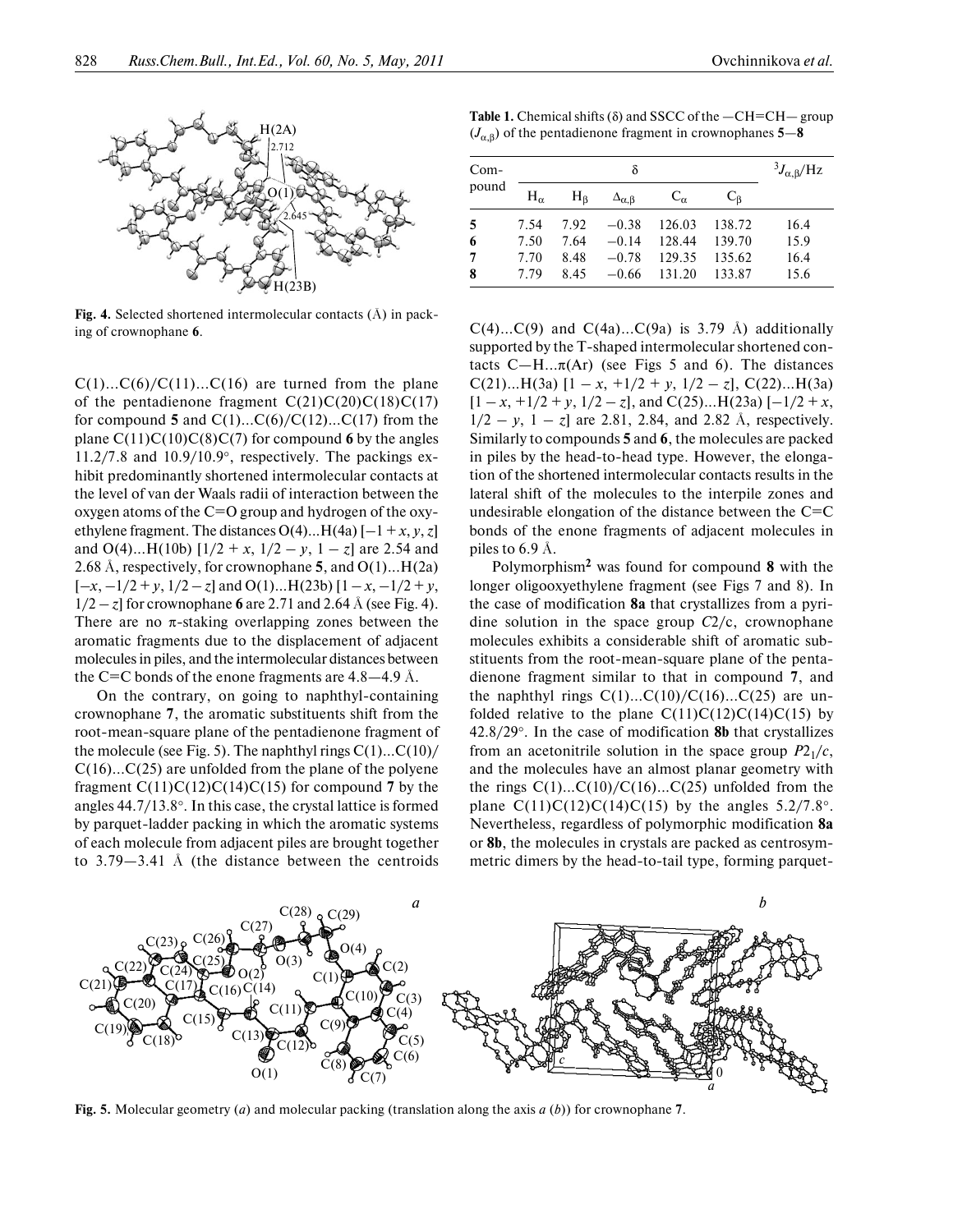

**Fig. 4.** Selected shortened intermolecular contacts (Å) in pack ing of crownophane **6**.

 $C(1)...C(6)/C(11)...C(16)$  are turned from the plane of the pentadienone fragment  $C(21)C(20)C(18)C(17)$ for compound **5** and  $C(1)...C(6)/C(12)...C(17)$  from the plane С(11)С(10)С(8)С(7) for compound **6** by the angles 11.2/7.8 and 10.9/10.9°, respectively. The packings ex hibit predominantly shortened intermolecular contacts at the level of van der Waals radii of interaction between the oxygen atoms of the  $C=O$  group and hydrogen of the oxyethylene fragment. The distances  $O(4)$ ...H(4a)  $[-1 + x, y, z]$ and  $O(4)$ ...H(10b)  $[1/2 + x, 1/2 - y, 1 - z]$  are 2.54 and 2.68 Å, respectively, for crownophane **5**, and О(1)...Н(2a)  $[-x, -1/2 + y, 1/2 - z]$  and O(1)...H(23b)  $[1 - x, -1/2 + y,$  $1/2 - z$  for crownophane 6 are 2.71 and 2.64 Å (see Fig. 4). There are no  $\pi$ -staking overlapping zones between the aromatic fragments due to the displacement of adjacent molecules in piles, and the intermolecular distances between the C=C bonds of the enone fragments are  $4.8-4.9$  Å.

On the contrary, on going to naphthyl-containing crownophane **7**, the aromatic substituents shift from the root-mean-square plane of the pentadienone fragment of the molecule (see Fig. 5). The naphthyl rings  $C(1)...C(10)$ / С(16)...С(25) are unfolded from the plane of the polyene fragment  $C(11)C(12)C(14)C(15)$  for compound 7 by the angles 44.7/13.8°. In this case, the crystal lattice is formed by parquet-ladder packing in which the aromatic systems of each molecule from adjacent piles are brought together to 3.79—3.41 Å (the distance between the centroids

**Table 1.** Chemical shifts (δ) and SSCC of the —СН=СН— group  $(J_{\alpha,\beta})$  of the pentadienone fragment in crownophanes 5–8

| $Com-$ |              | $^{3}J_{\alpha,\beta}/\text{Hz}$ |                         |              |        |      |
|--------|--------------|----------------------------------|-------------------------|--------------|--------|------|
| pound  | $H_{\alpha}$ | H <sub>6</sub>                   | $\Delta_{\alpha,\beta}$ | $C_{\alpha}$ | $C_R$  |      |
| 5      | 7.54         | 7.92                             | $-0.38$                 | 126.03       | 138.72 | 16.4 |
| 6      | 7.50         | 7.64                             | $-0.14$                 | 128.44       | 139.70 | 15.9 |
| 7      | 7.70         | 8.48                             | $-0.78$                 | 129.35       | 135.62 | 16.4 |
| 8      | 7.79         | 8.45                             | $-0.66$                 | 131.20       | 133.87 | 15.6 |

 $C(4)...C(9)$  and  $C(4a)...C(9a)$  is 3.79 Å) additionally supported by the T-shaped intermolecular shortened con tacts  $C-H... \pi (Ar)$  (see Figs 5 and 6). The distances C(21)...H(3a)  $[1 - x, +1/2 + y, 1/2 - z]$ , C(22)...H(3a)  $[1 - x, +1/2 + y, 1/2 - z]$ , and C(25)...H(23a)  $[-1/2 + x,$  $1/2 - y$ ,  $1 - z$  are 2.81, 2.84, and 2.82 Å, respectively. Similarly to compounds **5** and **6**, the molecules are packed in piles by the head-to-head type. However, the elonga tion of the shortened intermolecular contacts results in the lateral shift of the molecules to the interpile zones and undesirable elongation of the distance between the  $C=C$ bonds of the enone fragments of adjacent molecules in piles to 6.9 Å.

Polymorphism**2** was found for compound **8** with the longer oligooxyethylene fragment (see Figs 7 and 8). In the case of modification **8a** that crystallizes from a pyri dine solution in the space group *C*2/c, crownophane molecules exhibits a considerable shift of aromatic sub stituents from the root-mean-square plane of the penta dienone fragment similar to that in compound **7**, and the naphthyl rings  $C(1)...C(10)/C(16)...C(25)$  are unfolded relative to the plane  $C(11)C(12)C(14)C(15)$  by 42.8/29°. In the case of modification **8b** that crystallizes from an acetonitrile solution in the space group  $P2_1/c$ , and the molecules have an almost planar geometry with the rings  $C(1)...C(10)/C(16)...C(25)$  unfolded from the plane  $C(11)C(12)C(14)C(15)$  by the angles 5.2/7.8°. Nevertheless, regardless of polymorphic modification **8a** or **8b**, the molecules in crystals are packed as centrosym metric dimers by the head-to-tail type, forming parquet-



**Fig. 5.** Molecular geometry (*a*) and molecular packing (translation along the axis *a* (*b*)) for crownophane **7**.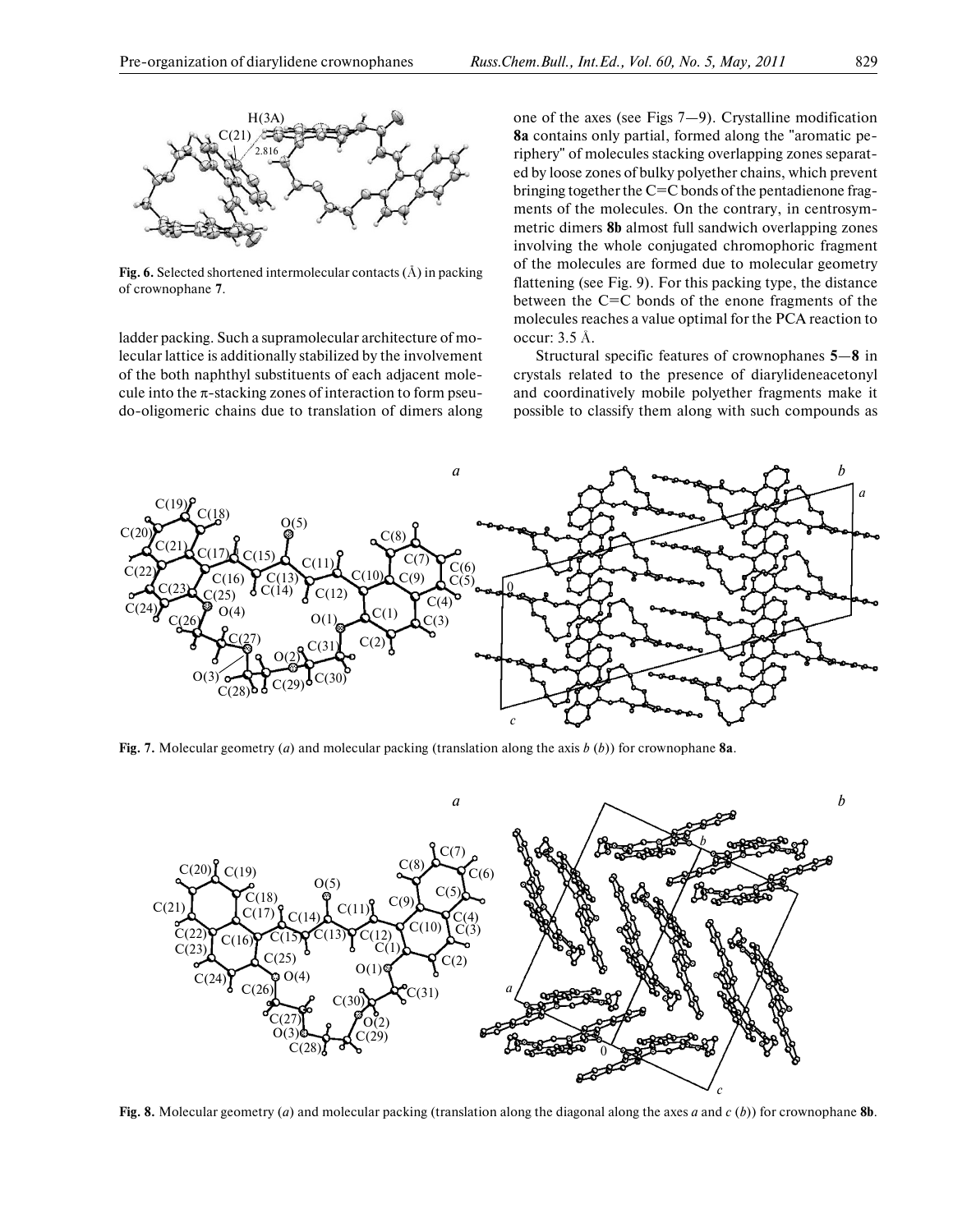

**Fig. 6.** Selected shortened intermolecular contacts (Å) in packing of crownophane **7**.

ladder packing. Such a supramolecular architecture of mo lecular lattice is additionally stabilized by the involvement of the both naphthyl substituents of each adjacent mole cule into the  $\pi$ -stacking zones of interaction to form pseudo-oligomeric chains due to translation of dimers along

one of the axes (see Figs 7—9). Crystalline modification **8a** contains only partial, formed along the "aromatic pe riphery" of molecules stacking overlapping zones separat ed by loose zones of bulky polyether chains, which prevent bringing together the C=C bonds of the pentadienone fragments of the molecules. On the contrary, in centrosym metric dimers **8b** almost full sandwich overlapping zones involving the whole conjugated chromophoric fragment of the molecules are formed due to molecular geometry flattening (see Fig. 9). For this packing type, the distance between the C=C bonds of the enone fragments of the molecules reaches a value optimal for the PCA reaction to occur: 3.5 Å.

Structural specific features of crownophanes **5**—**8** in crystals related to the presence of diarylideneacetonyl and coordinatively mobile polyether fragments make it possible to classify them along with such compounds as



**Fig. 7.** Molecular geometry (*a*) and molecular packing (translation along the axis *b* (*b*)) for crownophane **8a**.



**Fig. 8.** Molecular geometry (*a*) and molecular packing (translation along the diagonal along the axes *a* and *c* (*b*)) for crownophane **8b**.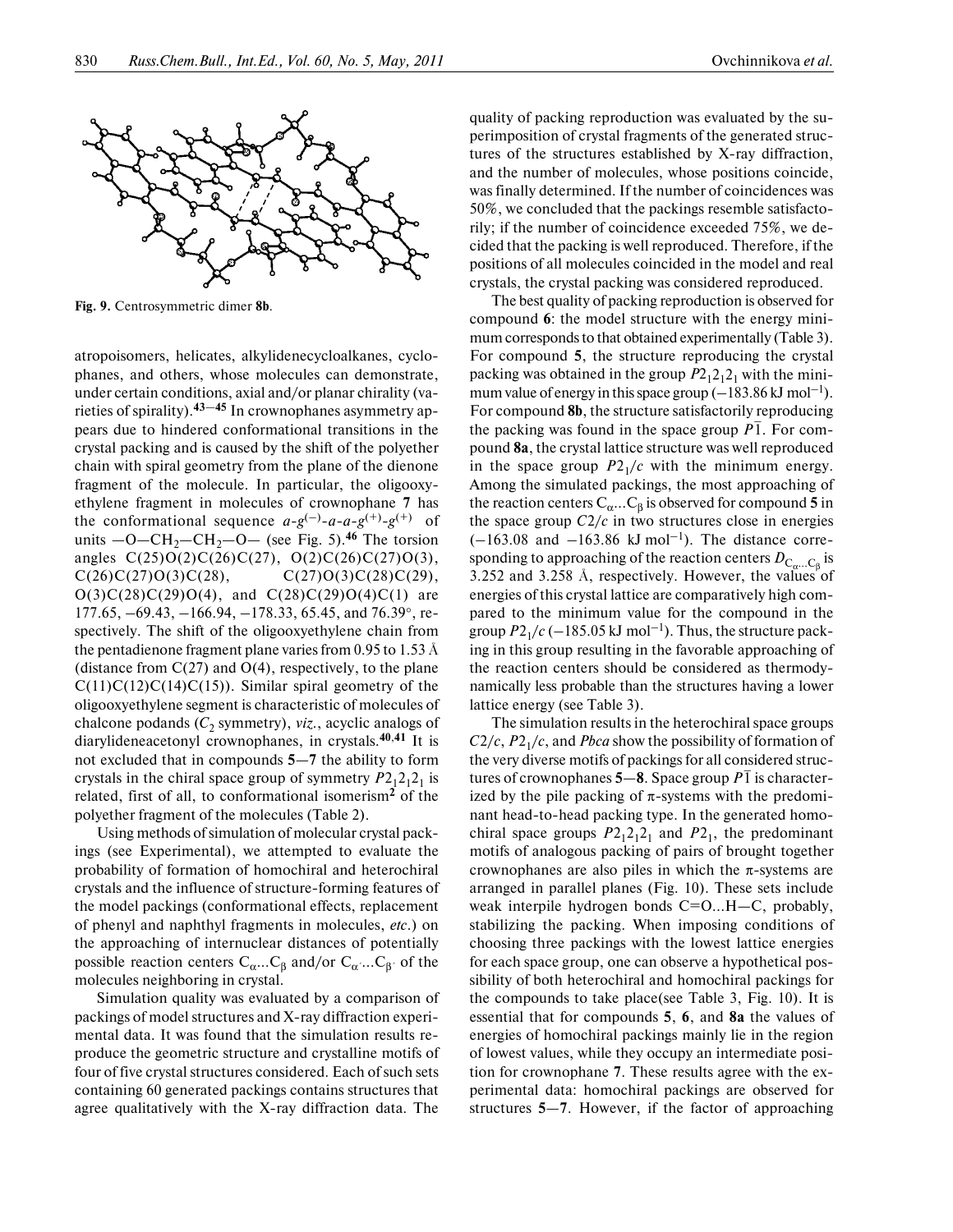

**Fig. 9.** Centrosymmetric dimer **8b**.

atropoisomers, helicates, alkylidenecycloalkanes, cyclo phanes, and others, whose molecules can demonstrate, under certain conditions, axial and/or planar chirality (va rieties of spirality).**43**—**45** In crownophanes asymmetry ap pears due to hindered conformational transitions in the crystal packing and is caused by the shift of the polyether chain with spiral geometry from the plane of the dienone fragment of the molecule. In particular, the oligooxy ethylene fragment in molecules of crownophane **7** has the conformational sequence  $a-g^{(-)}-a-a-g^{(+)}-g^{(+)}$  of units  $-O-CH_2-CH_2-O-$  (see Fig. 5).<sup>46</sup> The torsion angles  $C(25)O(2)C(26)C(27)$ ,  $O(2)C(26)C(27)O(3)$ ,  $C(26)C(27)O(3)C(28)$ ,  $C(27)O(3)C(28)C(29)$ ,  $O(3)C(28)C(29)O(4)$ , and  $C(28)C(29)O(4)C(1)$  are 177.65, –69.43, –166.94, –178.33, 65.45, and 76.39°, re spectively. The shift of the oligooxyethylene chain from the pentadienone fragment plane varies from 0.95 to 1.53 Å (distance from  $C(27)$  and  $O(4)$ , respectively, to the plane  $C(11)C(12)C(14)C(15)$ ). Similar spiral geometry of the oligooxyethylene segment is characteristic of molecules of chalcone podands (C<sub>2</sub> symmetry), *viz.*, acyclic analogs of diarylideneacetonyl crownophanes, in crystals.**40**,**41** It is not excluded that in compounds **5**—**7** the ability to form crystals in the chiral space group of symmetry  $P2_12_12_1$  is related, first of all, to conformational isomerism**2** of the polyether fragment of the molecules (Table 2).

Using methods of simulation of molecular crystal pack ings (see Experimental), we attempted to evaluate the probability of formation of homochiral and heterochiral crystals and the influence of structure-forming features of the model packings (conformational effects, replacement of phenyl and naphthyl fragments in molecules, *etc*.) on the approaching of internuclear distances of potentially possible reaction centers  $C_{\alpha}...C_{\beta}$  and/or  $C_{\alpha}...C_{\beta}$  of the molecules neighboring in crystal.

Simulation quality was evaluated by a comparison of packings of model structures and X-ray diffraction experi mental data. It was found that the simulation results re produce the geometric structure and crystalline motifs of four of five crystal structures considered. Each of such sets containing 60 generated packings contains structures that agree qualitatively with the X-ray diffraction data. The

quality of packing reproduction was evaluated by the su perimposition of crystal fragments of the generated struc tures of the structures established by X-ray diffraction, and the number of molecules, whose positions coincide, was finally determined. If the number of coincidences was 50%, we concluded that the packings resemble satisfacto rily; if the number of coincidence exceeded 75%, we de cided that the packing is well reproduced. Therefore, if the positions of all molecules coincided in the model and real crystals, the crystal packing was considered reproduced.

The best quality of packing reproduction is observed for compound **6**: the model structure with the energy mini mum corresponds to that obtained experimentally (Table 3). For compound **5**, the structure reproducing the crystal packing was obtained in the group  $P2_12_12_1$  with the minimum value of energy in this space group  $(-183.86 \text{ kJ mol}^{-1})$ . For compound **8b**, the structure satisfactorily reproducing the packing was found in the space group  $\overline{P}$ <sup>1</sup>. For compound **8a**, the crystal lattice structure was well reproduced in the space group  $P2_1/c$  with the minimum energy. Among the simulated packings, the most approaching of the reaction centers  $C_{\alpha}$ ... $C_{\beta}$  is observed for compound 5 in the space group  $C2/c$  in two structures close in energies  $(-163.08$  and  $-163.86$  kJ mol<sup>-1</sup>). The distance corresponding to approaching of the reaction centers  $D_{\mathcal{C}_{\alpha}...\mathcal{C}_{\beta}}$  is 3.252 and 3.258 Å, respectively. However, the values of energies of this crystal lattice are comparatively high com pared to the minimum value for the compound in the group  $P2_1/c$  ( $-185.05$  kJ mol<sup>-1</sup>). Thus, the structure packing in this group resulting in the favorable approaching of the reaction centers should be considered as thermody namically less probable than the structures having a lower lattice energy (see Table 3).

The simulation results in the heterochiral space groups  $C_2/c$ ,  $P_1/c$ , and *Pbca* show the possibility of formation of the very diverse motifs of packings for all considered struc tures of crownophanes  $5-8$ . Space group  $P\bar{1}$  is characterized by the pile packing of  $\pi$ -systems with the predominant head-to-head packing type. In the generated homo chiral space groups  $P2_12_12_1$  and  $P2_1$ , the predominant motifs of analogous packing of pairs of brought together crownophanes are also piles in which the  $\pi$ -systems are arranged in parallel planes (Fig. 10). These sets include weak interpile hydrogen bonds C=O...H-C, probably, stabilizing the packing. When imposing conditions of choosing three packings with the lowest lattice energies for each space group, one can observe a hypothetical pos sibility of both heterochiral and homochiral packings for the compounds to take place(see Table 3, Fig. 10). It is essential that for compounds **5**, **6**, and **8a** the values of energies of homochiral packings mainly lie in the region of lowest values, while they occupy an intermediate posi tion for crownophane **7**. These results agree with the ex perimental data: homochiral packings are observed for structures **5**—**7**. However, if the factor of approaching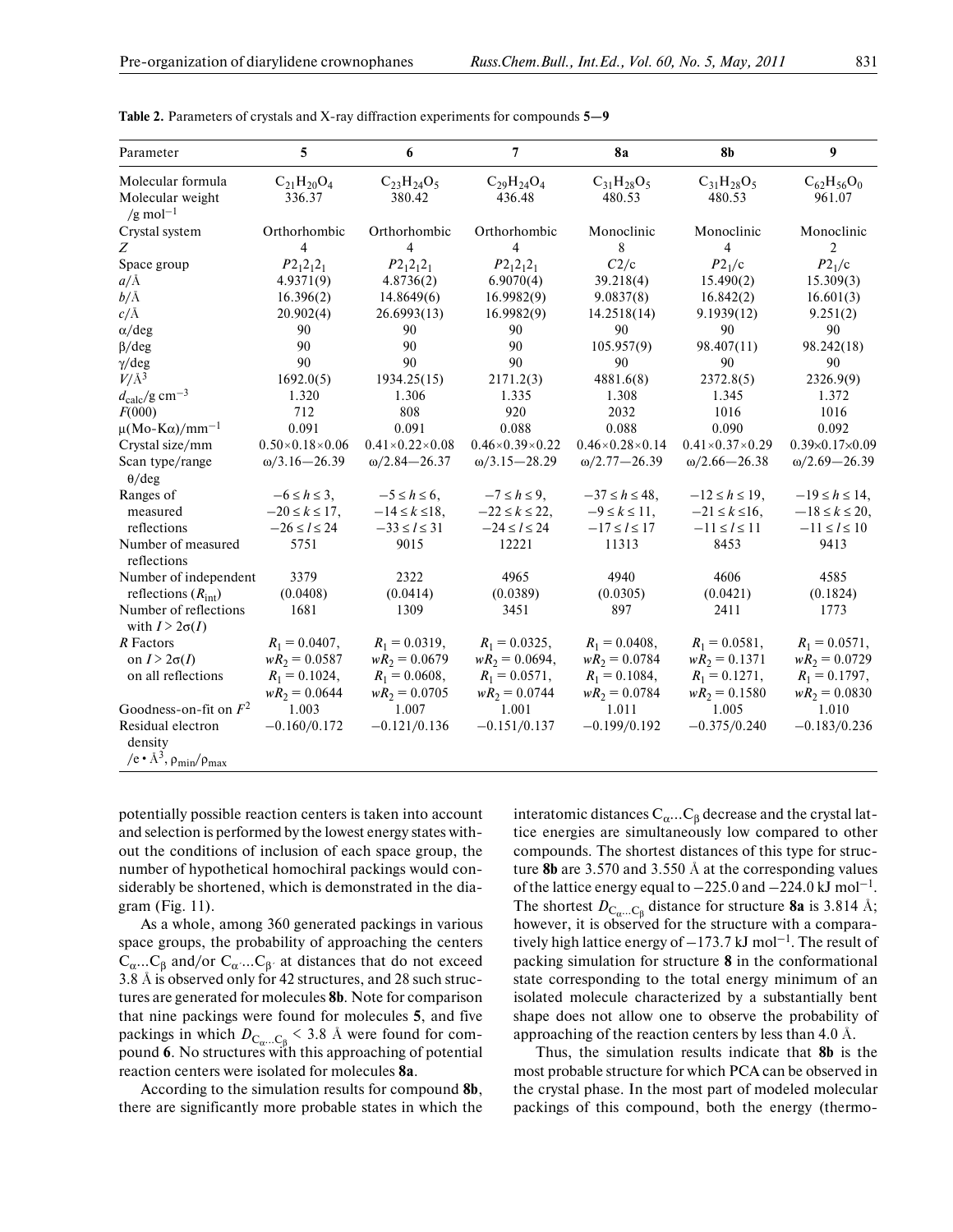| Parameter                                       | 5                          | 6                              | 7                              | <b>8a</b>                      | <b>8b</b>                      | $\boldsymbol{9}$           |
|-------------------------------------------------|----------------------------|--------------------------------|--------------------------------|--------------------------------|--------------------------------|----------------------------|
| Molecular formula                               | $C_{21}H_{20}O_4$          | $C_{23}H_{24}O_5$              | $C_{29}H_{24}O_4$              | $C_{31}H_{28}O_5$              | $C_{31}H_{28}O_5$              | $C_{62}H_{56}O_0$          |
| Molecular weight<br>/g mol <sup>-1</sup>        | 336.37                     | 380.42                         | 436.48                         | 480.53                         | 480.53                         | 961.07                     |
| Crystal system                                  | Orthorhombic               | Orthorhombic                   | Orthorhombic                   | Monoclinic                     | Monoclinic                     | Monoclinic                 |
| Z                                               | $\overline{4}$             | 4                              | 4                              | 8                              | 4                              | 2                          |
| Space group                                     | $P2_12_12_1$               | $P2_12_12_1$                   | $P2_12_12_1$                   | C2/c                           | P2 <sub>1</sub> /c             | P2 <sub>1</sub> /c         |
| $a/\text{A}$                                    | 4.9371(9)                  | 4.8736(2)                      | 6.9070(4)                      | 39.218(4)                      | 15.490(2)                      | 15.309(3)                  |
| b/A                                             | 16.396(2)                  | 14.8649(6)                     | 16.9982(9)                     | 9.0837(8)                      | 16.842(2)                      | 16.601(3)                  |
| $c/\AA$                                         | 20.902(4)                  | 26.6993(13)                    | 16.9982(9)                     | 14.2518(14)                    | 9.1939(12)                     | 9.251(2)                   |
| $\alpha$ /deg                                   | 90                         | 90                             | 90                             | 90                             | 90                             | 90                         |
| $\beta$ /deg                                    | 90                         | 90                             | 90                             | 105.957(9)                     | 98.407(11)                     | 98.242(18)                 |
| $\gamma$ /deg                                   | 90                         | 90                             | 90                             | 90                             | 90                             | 90                         |
| $V/\AA$ <sup>3</sup>                            | 1692.0(5)                  | 1934.25(15)                    | 2171.2(3)                      | 4881.6(8)                      | 2372.8(5)                      | 2326.9(9)                  |
| $d_{\text{calc}}/\text{g cm}^{-3}$              | 1.320                      | 1.306                          | 1.335                          | 1.308                          | 1.345                          | 1.372                      |
| F(000)                                          | 712                        | 808                            | 920                            | 2032                           | 1016                           | 1016                       |
| $\mu$ (Mo-K $\alpha$ )/mm <sup>-1</sup>         | 0.091                      | 0.091                          | 0.088                          | 0.088                          | 0.090                          | 0.092                      |
| Crystal size/mm                                 | $0.50\times0.18\times0.06$ | $0.41 \times 0.22 \times 0.08$ | $0.46 \times 0.39 \times 0.22$ | $0.46 \times 0.28 \times 0.14$ | $0.41 \times 0.37 \times 0.29$ | $0.39\times0.17\times0.09$ |
| Scan type/range                                 | $\omega/3.16 - 26.39$      | $\omega/2.84 - 26.37$          | $\omega/3.15 - 28.29$          | $\omega/2.77 - 26.39$          | $\omega/2.66 - 26.38$          | $\omega/2.69 - 26.39$      |
| $\theta$ /deg                                   |                            |                                |                                |                                |                                |                            |
| Ranges of                                       | $-6 \leq h \leq 3$ ,       | $-5 \leq h \leq 6$ ,           | $-7 \leq h \leq 9$ ,           | $-37 \le h \le 48$ ,           | $-12 \le h \le 19$ ,           | $-19 \le h \le 14$ ,       |
| measured                                        | $-20 \le k \le 17$ ,       | $-14 \le k \le 18$ ,           | $-22 \le k \le 22$             | $-9 \le k \le 11$ ,            | $-21 \le k \le 16$ ,           | $-18 \le k \le 20$ ,       |
| reflections                                     | $-26 \le l \le 24$         | $-33 \le l \le 31$             | $-24 \le l \le 24$             | $-17 \le l \le 17$             | $-11 \le l \le 11$             | $-11 \le l \le 10$         |
| Number of measured                              | 5751                       | 9015                           | 12221                          | 11313                          | 8453                           | 9413                       |
| reflections                                     |                            |                                |                                |                                |                                |                            |
| Number of independent                           | 3379                       | 2322                           | 4965                           | 4940                           | 4606                           | 4585                       |
| reflections $(R_{\text{int}})$                  | (0.0408)                   | (0.0414)                       | (0.0389)                       | (0.0305)                       | (0.0421)                       | (0.1824)                   |
| Number of reflections<br>with $I > 2\sigma(I)$  | 1681                       | 1309                           | 3451                           | 897                            | 2411                           | 1773                       |
| R Factors                                       | $R_1 = 0.0407$ ,           | $R_1 = 0.0319$ ,               | $R_1 = 0.0325$ ,               | $R_1 = 0.0408$ ,               | $R_1 = 0.0581$ ,               | $R_1 = 0.0571$ ,           |
| on $I > 2\sigma(I)$                             | $wR_2 = 0.0587$            | $wR_2 = 0.0679$                | $wR_2 = 0.0694$ ,              | $wR_2 = 0.0784$                | $wR_2 = 0.1371$                | $wR_2 = 0.0729$            |
| on all reflections                              | $R_1 = 0.1024$ ,           | $R_1 = 0.0608,$                | $R_1 = 0.0571,$                | $R_1 = 0.1084,$                | $R_1 = 0.1271,$                | $R_1 = 0.1797$ ,           |
|                                                 | $wR_2 = 0.0644$            | $wR_2 = 0.0705$                | $wR_2 = 0.0744$                | $wR_2 = 0.0784$                | $wR_2 = 0.1580$                | $wR_2 = 0.0830$            |
| Goodness-on-fit on $F^2$                        | 1.003                      | 1.007                          | 1.001                          | 1.011                          | 1.005                          | 1.010                      |
| Residual electron<br>density                    | $-0.160/0.172$             | $-0.121/0.136$                 | $-0.151/0.137$                 | $-0.199/0.192$                 | $-0.375/0.240$                 | $-0.183/0.236$             |
| /e • $\mathring{A}^3$ , $\rho_{min}/\rho_{max}$ |                            |                                |                                |                                |                                |                            |

**Table 2.** Parameters of crystals and X-ray diffraction experiments for compounds **5—9**

potentially possible reaction centers is taken into account and selection is performed by the lowest energy states with out the conditions of inclusion of each space group, the number of hypothetical homochiral packings would con siderably be shortened, which is demonstrated in the dia gram (Fig. 11).

As a whole, among 360 generated packings in various space groups, the probability of approaching the centers  $C_{\alpha}...C_{\beta}$  and/or  $C_{\alpha}...C_{\beta}$  at distances that do not exceed 3.8 Å is observed only for 42 structures, and 28 such struc tures are generated for molecules **8b**. Note for comparison that nine packings were found for molecules **5**, and five packings in which  $D_{\text{C}_{\alpha}...\text{C}_{\beta}}$  < 3.8 Å were found for compound **6**. No structures with this approaching of potential reaction centers were isolated for molecules **8a**.

According to the simulation results for compound **8b**, there are significantly more probable states in which the

interatomic distances  $\rm C_{\alpha} ... C_{\beta}$  decrease and the crystal lattice energies are simultaneously low compared to other compounds. The shortest distances of this type for struc ture **8b** are 3.570 and 3.550 Å at the corresponding values of the lattice energy equal to  $-225.0$  and  $-224.0$  kJ mol<sup>-1</sup>. The shortest  $D_{C_\alpha...C_\beta}$  distance for structure **8a** is 3.814 Å; however, it is observed for the structure with a compara tively high lattice energy of  $-173.7$  kJ mol<sup>-1</sup>. The result of packing simulation for structure **8** in the conformational state corresponding to the total energy minimum of an isolated molecule characterized by a substantially bent shape does not allow one to observe the probability of approaching of the reaction centers by less than 4.0 Å.

Thus, the simulation results indicate that **8b** is the most probable structure for which PCA can be observed in the crystal phase. In the most part of modeled molecular packings of this compound, both the energy (thermo-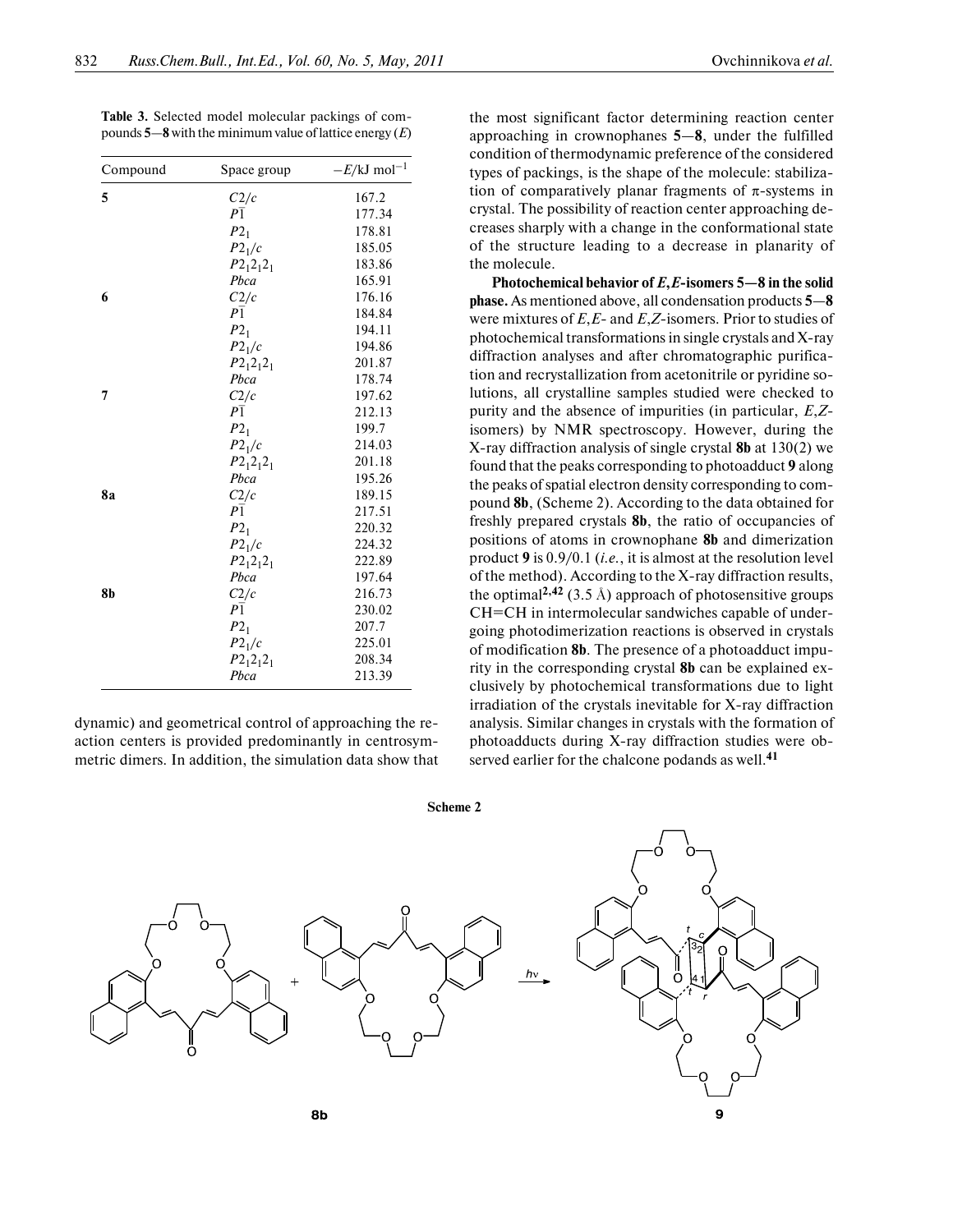**Table 3.** Selected model molecular packings of com pounds **5**—**8** with the minimum value of lattice energy (*E*)

| Compound  | Space group        | $-E/kJ$ mol <sup>-1</sup> |
|-----------|--------------------|---------------------------|
| 5         | C2/c               | 167.2                     |
|           | $P_1$              | 177.34                    |
|           | $P2_1$             | 178.81                    |
|           | $P2_1/c$           | 185.05                    |
|           | $P2_12_12_1$       | 183.86                    |
|           | Pbca               | 165.91                    |
| 6         | C2/c               | 176.16                    |
|           | P <sub>1</sub>     | 184.84                    |
|           | $P2_1$             | 194.11                    |
|           | $P2_1/c$           | 194.86                    |
|           | $P2_12_12_1$       | 201.87                    |
|           | Pbca               | 178.74                    |
| 7         | C2/c               | 197.62                    |
|           | $P_1$              | 212.13                    |
|           | $P2_1$             | 199.7                     |
|           | P2 <sub>1</sub> /c | 214.03                    |
|           | $P2_12_12_1$       | 201.18                    |
|           | Pbca               | 195.26                    |
| <b>8a</b> | C2/c               | 189.15                    |
|           | P <sub>1</sub>     | 217.51                    |
|           | $P2_1$             | 220.32                    |
|           | $P2_1/c$           | 224.32                    |
|           | $P2_12_12_1$       | 222.89                    |
|           | Pbca               | 197.64                    |
| 8b        | C2/c               | 216.73                    |
|           | $P\overline{1}$    | 230.02                    |
|           | $P2_1$             | 207.7                     |
|           | $P2_1/c$           | 225.01                    |
|           | $P2_12_12_1$       | 208.34                    |
|           | Pbca               | 213.39                    |

dynamic) and geometrical control of approaching the re action centers is provided predominantly in centrosym metric dimers. In addition, the simulation data show that the most significant factor determining reaction center approaching in crownophanes **5**—**8**, under the fulfilled condition of thermodynamic preference of the considered types of packings, is the shape of the molecule: stabiliza tion of comparatively planar fragments of  $\pi$ -systems in crystal. The possibility of reaction center approaching de creases sharply with a change in the conformational state of the structure leading to a decrease in planarity of the molecule.

**Photochemical behavior of** *E***,***E***-isomers 5—8 in the solid phase.** As mentioned above, all condensation products **5**—**8** were mixtures of *E*,*E*- and *E*,*Z*-isomers. Prior to studies of photochemical transformations in single crystals and X-ray diffraction analyses and after chromatographic purifica tion and recrystallization from acetonitrile or pyridine so lutions, all crystalline samples studied were checked to purity and the absence of impurities (in particular, *E*,*Z* isomers) by NMR spectroscopy. However, during the X-ray diffraction analysis of single crystal **8b** at 130(2) we found that the peaks corresponding to photoadduct **9** along the peaks of spatial electron density corresponding to com pound **8b**, (Scheme 2). According to the data obtained for freshly prepared crystals **8b**, the ratio of occupancies of positions of atoms in crownophane **8b** and dimerization product **9** is 0.9/0.1 (*i.e.*, it is almost at the resolution level of the method). According to the X-ray diffraction results, the optimal<sup>2,42</sup> (3.5 Å) approach of photosensitive groups СН=СН in intermolecular sandwiches capable of under going photodimerization reactions is observed in crystals of modification **8b**. The presence of a photoadduct impu rity in the corresponding crystal **8b** can be explained ex clusively by photochemical transformations due to light irradiation of the crystals inevitable for X-ray diffraction analysis. Similar changes in crystals with the formation of photoadducts during X-ray diffraction studies were ob served earlier for the chalcone podands as well.**<sup>41</sup>**

**Scheme 2**



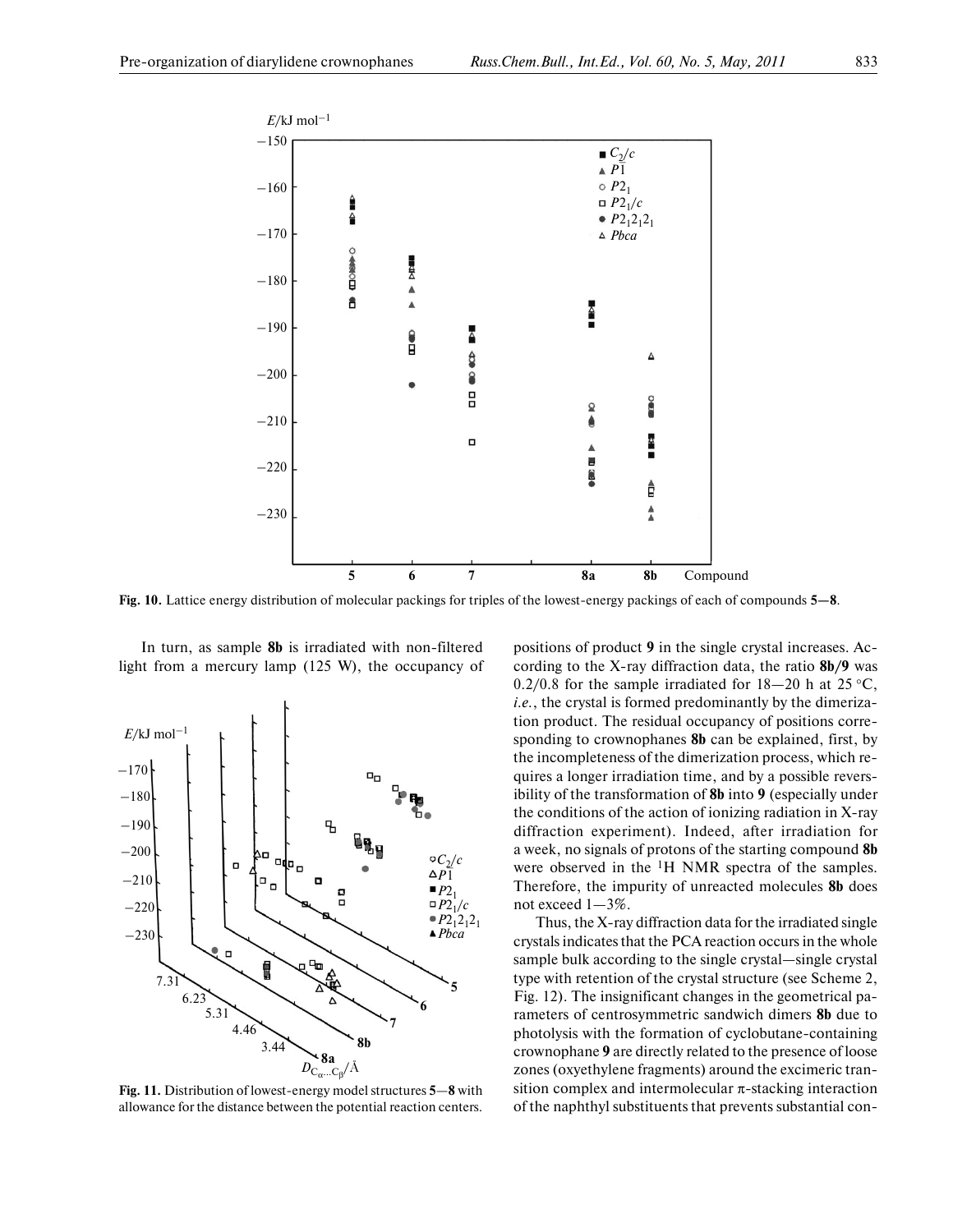

**Fig. 10.** Lattice energy distribution of molecular packings for triples of the lowest-energy packings of each of compounds **5—8**.

In turn, as sample **8b** is irradiated with non-filtered light from a mercury lamp (125 W), the occupancy of



**Fig. 11.** Distribution of lowest-energy model structures **5**—**8** with allowance for the distance between the potential reaction centers.

positions of product **9** in the single crystal increases. Ac cording to the X-ray diffraction data, the ratio **8b/9** was 0.2/0.8 for the sample irradiated for  $18-20$  h at  $25 °C$ , *i.e.*, the crystal is formed predominantly by the dimeriza tion product. The residual occupancy of positions corre sponding to crownophanes **8b** can be explained, first, by the incompleteness of the dimerization process, which re quires a longer irradiation time, and by a possible revers ibility of the transformation of **8b** into **9** (especially under the conditions of the action of ionizing radiation in X-ray diffraction experiment). Indeed, after irradiation for a week, no signals of protons of the starting compound **8b** were observed in the  ${}^{1}H$  NMR spectra of the samples. Therefore, the impurity of unreacted molecules **8b** does not exceed 1—3%.

Thus, the X-ray diffraction data for the irradiated single crystals indicates that the PCA reaction occurs in the whole sample bulk according to the single crystal—single crystal type with retention of the crystal structure (see Scheme 2, Fig. 12). The insignificant changes in the geometrical pa rameters of centrosymmetric sandwich dimers **8b** due to photolysis with the formation of cyclobutane-containing crownophane **9** are directly related to the presence of loose zones (oxyethylene fragments) around the excimeric tran sition complex and intermolecular π-stacking interaction of the naphthyl substituents that prevents substantial con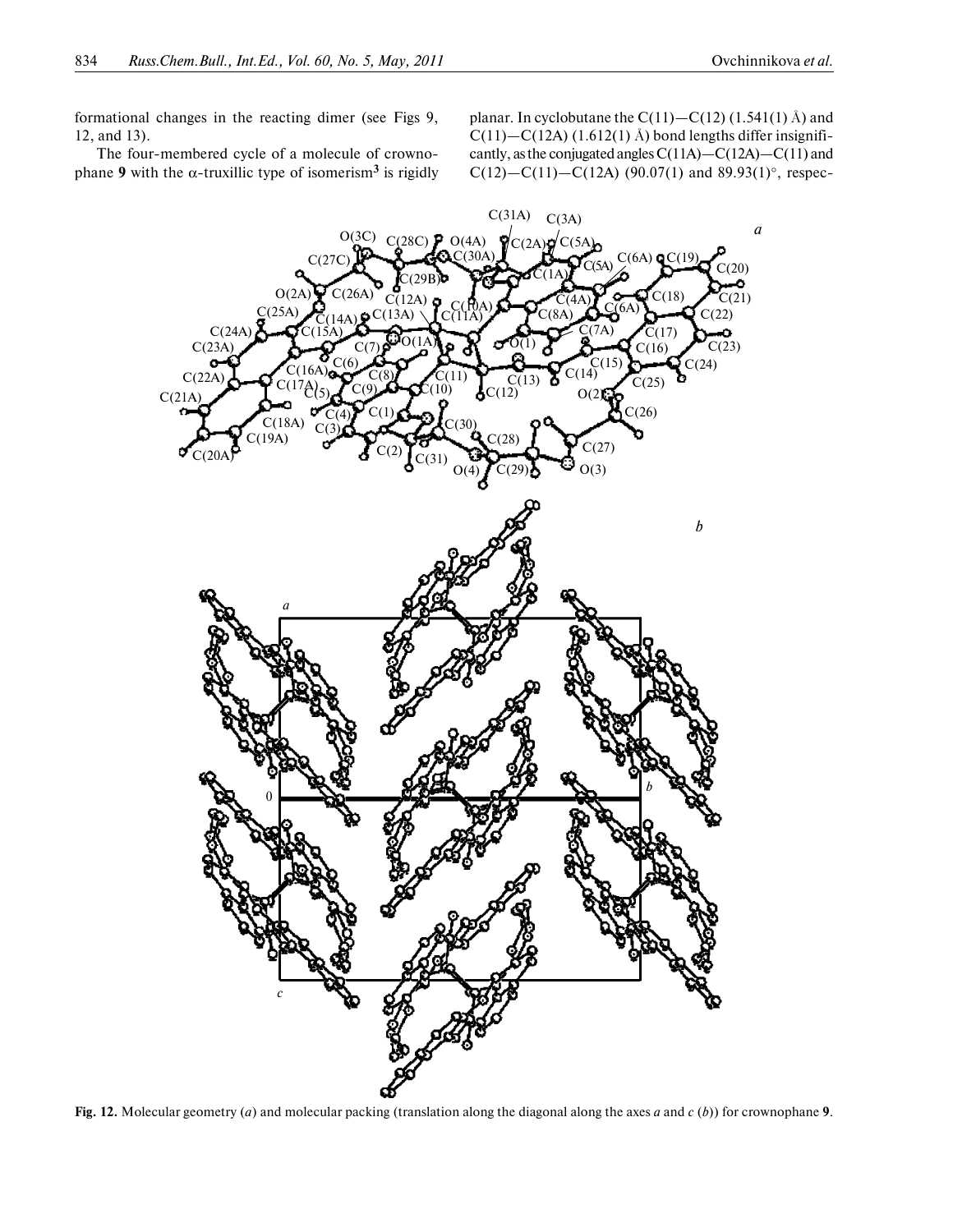formational changes in the reacting dimer (see Figs 9, 12, and 13).

The four-membered cycle of a molecule of crowno phane **9** with the α-truxillic type of isomerism**3** is rigidly planar. In cyclobutane the  $C(11) - C(12)$  (1.541(1) Å) and  $C(11)$ — $C(12A)$  (1.612(1) Å) bond lengths differ insignificantly, as the conjugated angles С(11А)—С(12А)—С(11) and  $C(12) - C(11) - C(12A)$  (90.07(1) and 89.93(1)°, respec-



**Fig. 12.** Molecular geometry (*a*) and molecular packing (translation along the diagonal along the axes *a* and *c* (*b*)) for crownophane **9**.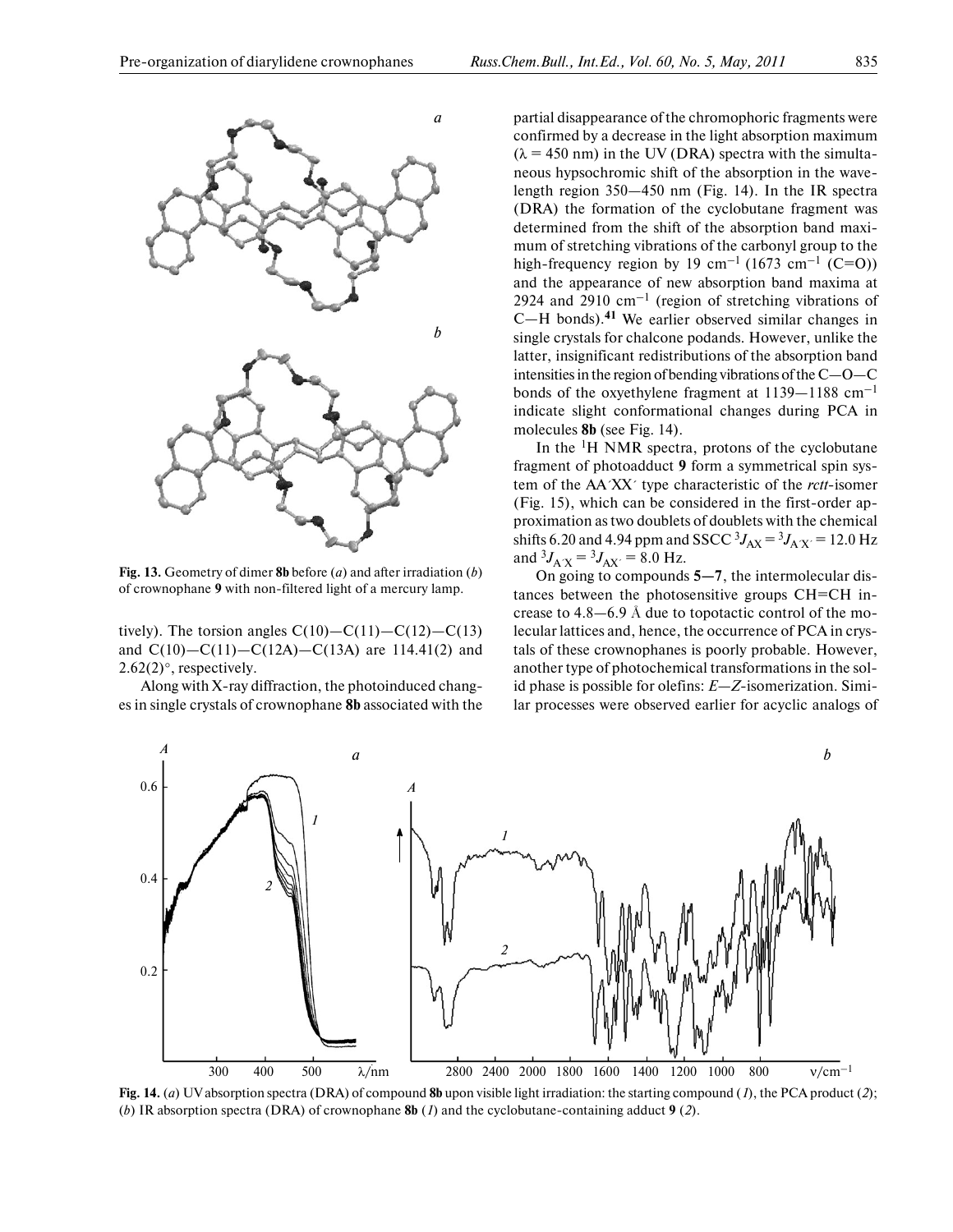

**Fig. 13.** Geometry of dimer **8b** before (*a*) and after irradiation (*b*) of crownophane **9** with non-filtered light of a mercury lamp.

tively). The torsion angles  $C(10) - C(11) - C(12) - C(13)$ and  $C(10) - C(11) - C(12A) - C(13A)$  are 114.41(2) and  $2.62(2)$ °, respectively.

Along with X-ray diffraction, the photoinduced chang es in single crystals of crownophane **8b** associated with the

partial disappearance of the chromophoric fragments were confirmed by a decrease in the light absorption maximum  $(\lambda = 450 \text{ nm})$  in the UV (DRA) spectra with the simultaneous hypsochromic shift of the absorption in the wave length region 350—450 nm (Fig. 14). In the IR spectra (DRA) the formation of the cyclobutane fragment was determined from the shift of the absorption band maxi mum of stretching vibrations of the carbonyl group to the high-frequency region by 19 cm<sup>-1</sup> (1673 cm<sup>-1</sup> (C=O)) and the appearance of new absorption band maxima at 2924 and 2910  $cm^{-1}$  (region of stretching vibrations of С—Н bonds).**41** We earlier observed similar changes in single crystals for chalcone podands. However, unlike the latter, insignificant redistributions of the absorption band intensities in the region of bending vibrations of the С—О—С bonds of the oxyethylene fragment at 1139—1188 cm–1 indicate slight conformational changes during PCA in molecules **8b** (see Fig. 14).

In the  ${}^{1}H$  NMR spectra, protons of the cyclobutane fragment of photoadduct **9** form a symmetrical spin sys tem of the АА´XX´ type characteristic of the *rctt*-isomer (Fig. 15), which can be considered in the first-order ap proximation as two doublets of doublets with the chemical shifts 6.20 and 4.94 ppm and SSCC  ${}^{3}J_{AX} = {}^{3}J_{AX'} = 12.0$  Hz and  ${}^{3}J_{A'X} = {}^{3}J_{AX'} = 8.0$  Hz.

On going to compounds **5—7**, the intermolecular dis tances between the photosensitive groups СН=СН in crease to 4.8—6.9 Å due to topotactic control of the mo lecular lattices and, hence, the occurrence of PCA in crys tals of these crownophanes is poorly probable. However, another type of photochemical transformations in the sol id phase is possible for olefins: *E*—*Z*-isomerization. Simi lar processes were observed earlier for acyclic analogs of



**Fig. 14.** (*a*) UV absorption spectra (DRA) of compound **8b** upon visible light irradiation: the starting compound (*1*), the PCA product (*2*); (*b*) IR absorption spectra (DRA) of crownophane **8b** (*1*) and the cyclobutane-containing adduct **9** (*2*).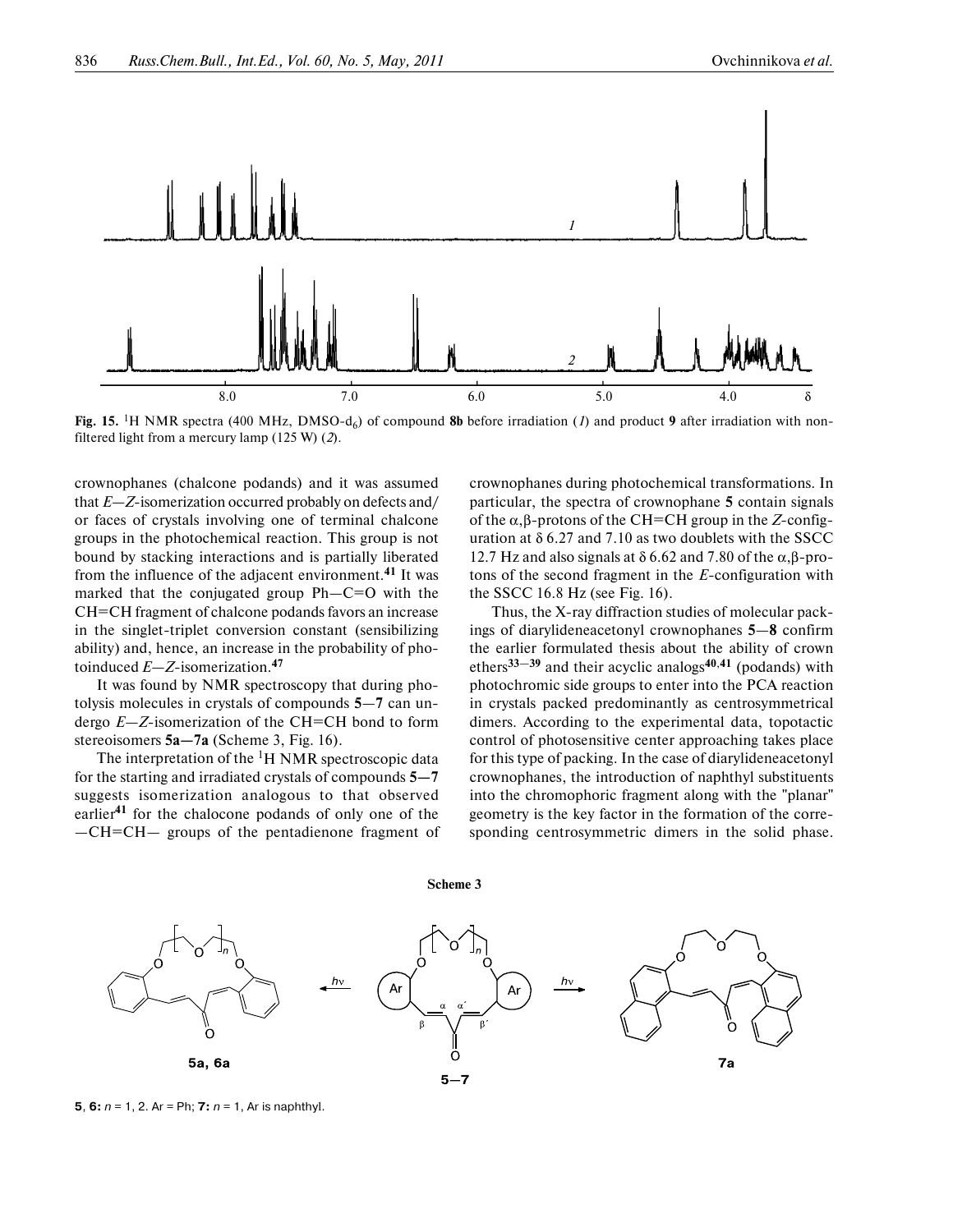

**Fig. 15.** <sup>1</sup>H NMR spectra (400 MHz, DMSO-d<sub>6</sub>) of compound 8b before irradiation (*1*) and product 9 after irradiation with nonfiltered light from a mercury lamp (125 W) (*2*).

crownophanes (chalcone podands) and it was assumed that *Е—Z*-isomerization occurred probably on defects and/ or faces of crystals involving one of terminal chalcone groups in the photochemical reaction. This group is not bound by stacking interactions and is partially liberated from the influence of the adjacent environment.**41** It was marked that the conjugated group Ph—C=O with the СН=СН fragment of chalcone podands favors an increase in the singlet-triplet conversion constant (sensibilizing ability) and, hence, an increase in the probability of pho toinduced *Е—Z*-isomerization.**<sup>47</sup>**

It was found by NMR spectroscopy that during pho tolysis molecules in crystals of compounds **5**—**7** can un dergo *E*—*Z*-isomerization of the CH=CH bond to form stereoisomers **5a—7a** (Scheme 3, Fig. 16).

The interpretation of the  ${}^{1}H$  NMR spectroscopic data for the starting and irradiated crystals of compounds **5—7** suggests isomerization analogous to that observed earlier**41** for the chalocone podands of only one of the —СН=СН— groups of the pentadienone fragment of crownophanes during photochemical transformations. In particular, the spectra of crownophane **5** contain signals of the α,β-protons of the СН=СН group in the *Z*-config uration at  $\delta$  6.27 and 7.10 as two doublets with the SSCC 12.7 Hz and also signals at  $\delta$  6.62 and 7.80 of the α,β-protons of the second fragment in the *Е*-configuration with the SSCC 16.8 Hz (see Fig. 16).

Thus, the X-ray diffraction studies of molecular pack ings of diarylideneacetonyl crownophanes **5**—**8** confirm the earlier formulated thesis about the ability of crown ethers**33**—**39** and their acyclic analogs**40**,**41** (podands) with photochromic side groups to enter into the PCA reaction in crystals packed predominantly as centrosymmetrical dimers. According to the experimental data, topotactic control of photosensitive center approaching takes place for this type of packing. In the case of diarylideneacetonyl crownophanes, the introduction of naphthyl substituents into the chromophoric fragment along with the "planar" geometry is the key factor in the formation of the corre sponding centrosymmetric dimers in the solid phase.



**Scheme 3**

**5**, **6**:  $n = 1$ , 2. Ar = Ph; **7**:  $n = 1$ , Ar is naphthyl.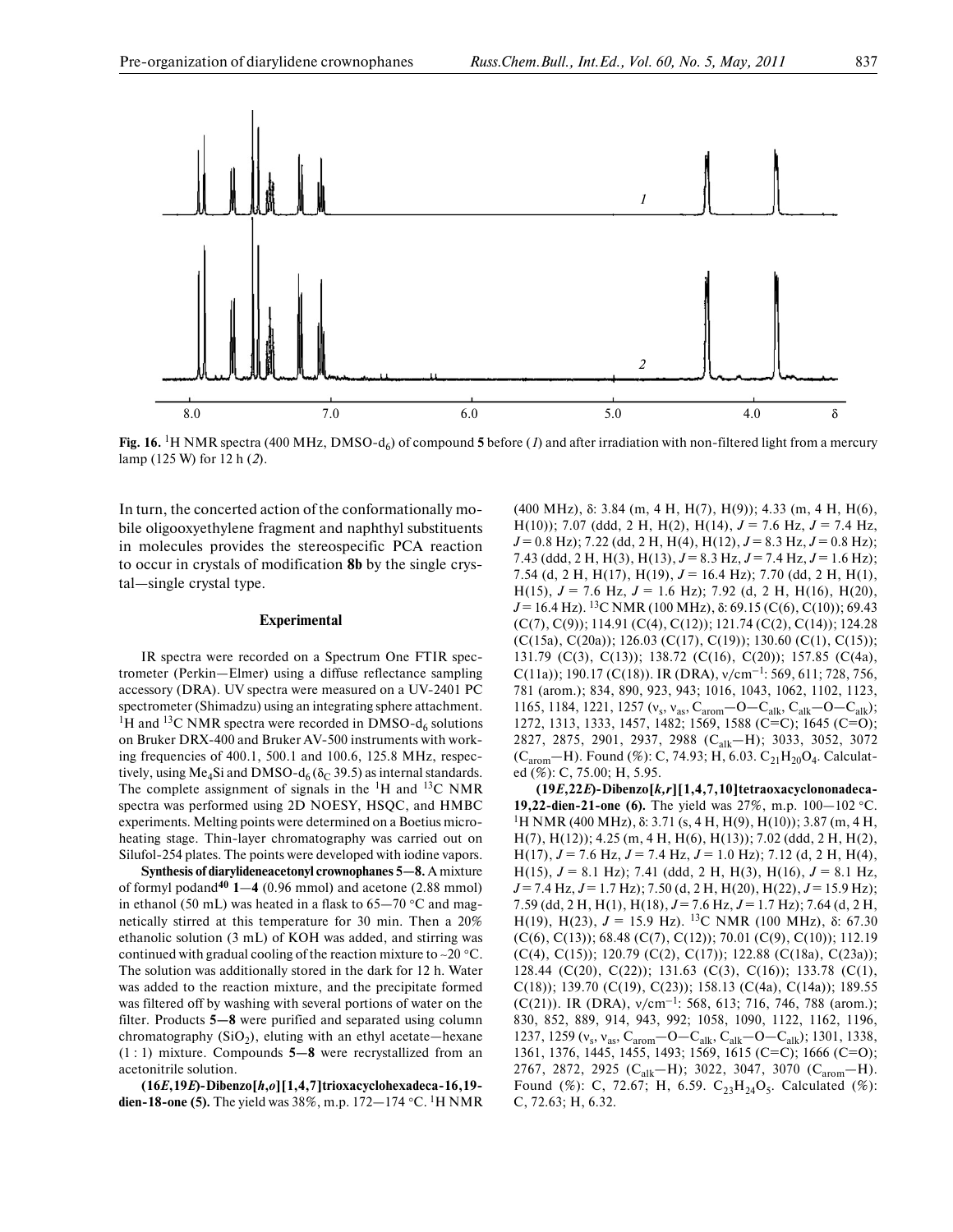

**Fig. 16.** 1Н NMR spectra (400 MHz, DMSO-d6) of compound **5** before (*1*) and after irradiation with non-filtered light from a mercury lamp (125 W) for 12 h (*2*).

In turn, the concerted action of the conformationally mo bile oligooxyethylene fragment and naphthyl substituents in molecules provides the stereospecific PCA reaction to occur in crystals of modification **8b** by the single crys tal—single crystal type.

## **Experimental**

IR spectra were recorded on a Spectrum One FTIR spec trometer (Perkin—Elmer) using a diffuse reflectance sampling accessory (DRA). UV spectra were measured on a UV-2401 PC spectrometer (Shimadzu) using an integrating sphere attachment. <sup>1</sup>H and <sup>13</sup>C NMR spectra were recorded in DMSO- $d_6$  solutions on Bruker DRX-400 and Bruker AV-500 instruments with work ing frequencies of 400.1, 500.1 and 100.6, 125.8 MHz, respectively, using Me<sub>4</sub>Si and DMSO-d<sub>6</sub> ( $\delta$ <sub>C</sub> 39.5) as internal standards. The complete assignment of signals in the  ${}^{1}H$  and  ${}^{13}C$  NMR spectra was performed using 2D NOESY, HSQC, and HMBC experiments. Melting points were determined on a Boetius micro heating stage. Thin-layer chromatography was carried out on Silufol-254 plates. The points were developed with iodine vapors.

**Synthesis of diarylideneacetonyl crownophanes 5—8.** A mixture of formyl podand**<sup>40</sup> 1**—**4** (0.96 mmol) and acetone (2.88 mmol) in ethanol (50 mL) was heated in a flask to 65—70 °С and mag netically stirred at this temperature for 30 min. Then a 20% ethanolic solution (3 mL) of KOH was added, and stirring was continued with gradual cooling of the reaction mixture to ∼20 °С. The solution was additionally stored in the dark for 12 h. Water was added to the reaction mixture, and the precipitate formed was filtered off by washing with several portions of water on the filter. Products **5—8** were purified and separated using column chromatography  $(SiO<sub>2</sub>)$ , eluting with an ethyl acetate—hexane (1 : 1) mixture. Compounds **5—8** were recrystallized from an acetonitrile solution.

**(16***E***,19***E***)-Dibenzo[***h***,***o***][1,4,7]trioxacyclohexadeca-16,19 dien-18-one (5).** The yield was 38%, m.p. 172—174 °С. 1Н NMR

(400 MHz), δ: 3.84 (m, 4 H, H(7), H(9)); 4.33 (m, 4 H, H(6), H(10)); 7.07 (ddd, 2 H, H(2), H(14),  $J = 7.6$  Hz,  $J = 7.4$  Hz,  $J = 0.8$  Hz); 7.22 (dd, 2 H, H(4), H(12),  $J = 8.3$  Hz,  $J = 0.8$  Hz); 7.43 (ddd, 2 H, H(3), H(13), *J* = 8.3 Hz, *J* = 7.4 Hz, *J* = 1.6 Hz); 7.54 (d, 2 H, H(17), H(19), *J* = 16.4 Hz); 7.70 (dd, 2 H, H(1), H(15),  $J = 7.6$  Hz,  $J = 1.6$  Hz); 7.92 (d, 2 H, H(16), H(20), *J* = 16.4 Hz). 13C NMR (100 MHz), δ: 69.15 (C(6), C(10)); 69.43 (C(7), C(9)); 114.91 (C(4), C(12)); 121.74 (C(2), C(14)); 124.28 (C(15a), C(20a)); 126.03 (C(17), C(19)); 130.60 (C(1), C(15)); 131.79 (C(3), C(13)); 138.72 (C(16), C(20)); 157.85 (C(4a), C(11a)); 190.17 (C(18)). IR (DRA), ν/cm–1: 569, 611; 728, 756, 781 (arom.); 834, 890, 923, 943; 1016, 1043, 1062, 1102, 1123, 1165, 1184, 1221, 1257 (ν<sub>s</sub>, ν<sub>as</sub>, C<sub>arom</sub> - Ο - C<sub>alk</sub>, C<sub>alk</sub> - Ο - C<sub>alk</sub>); 1272, 1313, 1333, 1457, 1482; 1569, 1588 (С=С); 1645 (С=О); 2827, 2875, 2901, 2937, 2988 (C<sub>alk</sub>-H); 3033, 3052, 3072 (C<sub>arom</sub>—H). Found (%): C, 74.93; H, 6.03. C<sub>21</sub>H<sub>20</sub>O<sub>4</sub>. Calculated (%): С, 75.00; Н, 5.95.

**(19***E***,22***E***)-Dibenzo[***k,r***][1,4,7,10]tetraoxacyclononadeca- 19,22-dien-21-one (6).** The yield was 27%, m.p. 100−102 °С. <sup>1</sup>H NMR (400 MHz), δ: 3.71 (s, 4 H, H(9), H(10)); 3.87 (m, 4 H, H(7), H(12)); 4.25 (m, 4 H, H(6), H(13)); 7.02 (ddd, 2 H, H(2), H(17), *J* = 7.6 Hz, *J* = 7.4 Hz, *J* = 1.0 Hz); 7.12 (d, 2 H, H(4), H(15), *J* = 8.1 Hz); 7.41 (ddd, 2 H, H(3), H(16), *J* = 8.1 Hz, *J* = 7.4 Hz, *J* = 1.7 Hz); 7.50 (d, 2 H, H(20), H(22), *J* = 15.9 Hz); 7.59 (dd, 2 H, H(1), H(18), *J* = 7.6 Hz, *J* = 1.7 Hz); 7.64 (d, 2 H, H(19), H(23),  $J = 15.9$  Hz). <sup>13</sup>C NMR (100 MHz), δ: 67.30 (C(6), C(13)); 68.48 (C(7), C(12)); 70.01 (C(9), C(10)); 112.19 (C(4), C(15)); 120.79 (C(2), C(17)); 122.88 (C(18a), C(23a)); 128.44 (C(20), C(22)); 131.63 (C(3), C(16)); 133.78 (C(1), C(18)); 139.70 (C(19), C(23)); 158.13 (C(4a), C(14a)); 189.55 (C(21)). IR (DRA), ν/cm–1: 568, 613; 716, 746, 788 (arom.); 830, 852, 889, 914, 943, 992; 1058, 1090, 1122, 1162, 1196, 1237, 1259 ( $v_s$ ,  $v_{as}$ ,  $C_{arom}$  – O –  $C_{alk}$ ,  $C_{alk}$  – O –  $C_{alk}$ ); 1301, 1338, 1361, 1376, 1445, 1455, 1493; 1569, 1615 (С=С); 1666 (С=О); 2767, 2872, 2925 (С<sub>alk</sub>—Н); 3022, 3047, 3070 (С<sub>arom</sub>—Н). Found (%): C, 72.67; H, 6.59.  $C_{23}H_{24}O_5$ . Calculated (%): С, 72.63; Н, 6.32.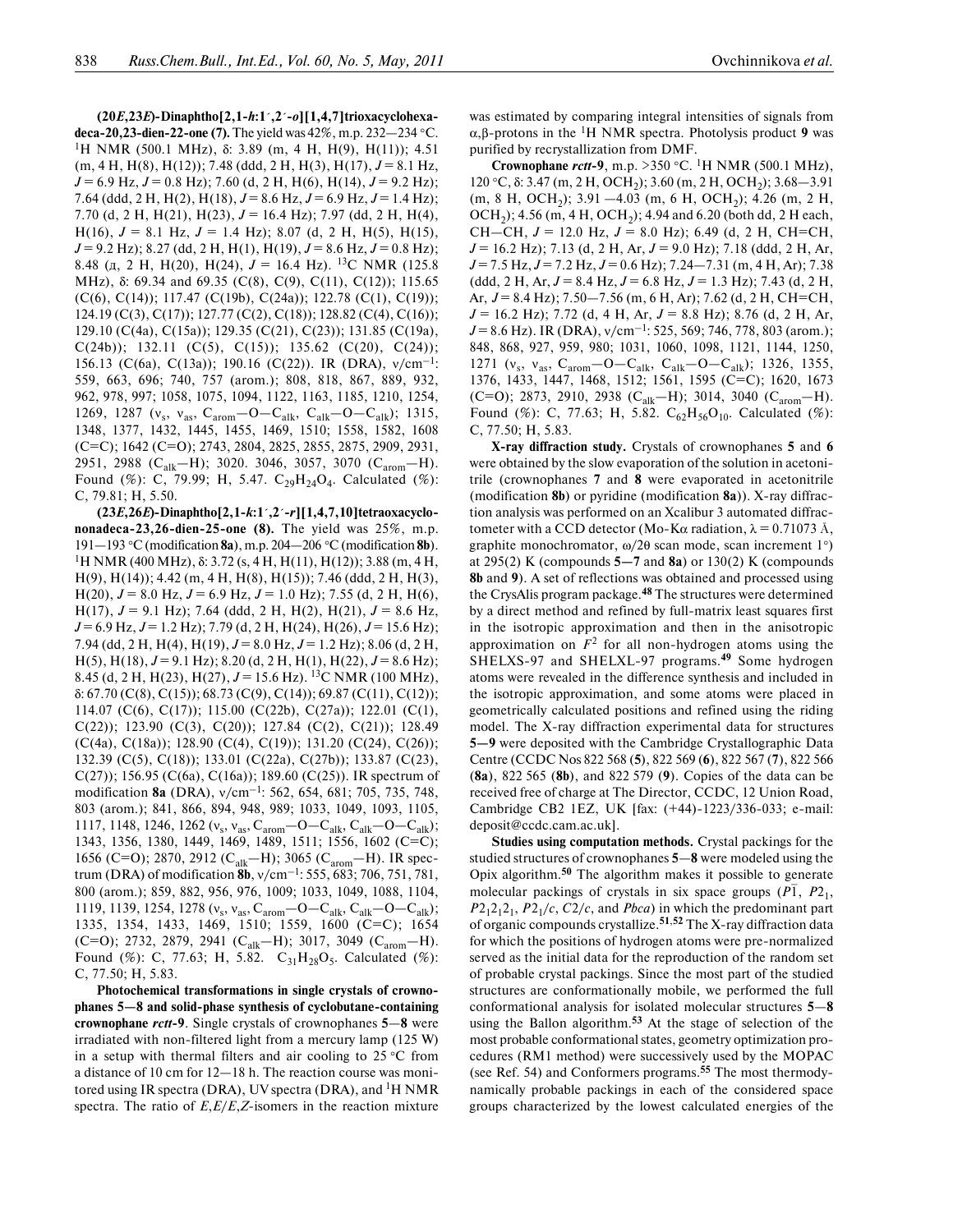**(20***E***,23***E***)-Dinaphtho[2,1-***h***:1´,2´-***o***][1,4,7]trioxacyclohexa deca-20,23-dien-22-one (7).** The yield was 42%, m.p. 232—234 °С. 1Н NMR (500.1 MHz), δ: 3.89 (m, 4 H, H(9), H(11)); 4.51 (m, 4 H, H(8), H(12)); 7.48 (ddd, 2 H, H(3), H(17), *J* = 8.1 Hz, *J* = 6.9 Hz, *J* = 0.8 Hz); 7.60 (d, 2 H, H(6), H(14), *J* = 9.2 Hz); 7.64 (ddd, 2 H, H(2), H(18),  $J = 8.6$  Hz,  $J = 6.9$  Hz,  $J = 1.4$  Hz); 7.70 (d, 2 H, H(21), H(23), *J* = 16.4 Hz); 7.97 (dd, 2 H, H(4), H(16),  $J = 8.1$  Hz,  $J = 1.4$  Hz); 8.07 (d, 2 H, H(5), H(15), *J* = 9.2 Hz); 8.27 (dd, 2 H, H(1), H(19), *J* = 8.6 Hz, *J* = 0.8 Hz); 8.48 (д, 2 H, H(20), H(24), *J* = 16.4 Hz). 13C NMR (125.8 MHz), δ: 69.34 and 69.35 (C(8), C(9), C(11), C(12)); 115.65 (C(6), C(14)); 117.47 (C(19b), C(24a)); 122.78 (C(1), C(19)); 124.19 (C(3), C(17)); 127.77 (C(2), C(18)); 128.82 (C(4), C(16)); 129.10 (C(4a), C(15a)); 129.35 (C(21), C(23)); 131.85 (C(19a),  $C(24b)$ ); 132.11 ( $C(5)$ ,  $C(15)$ ); 135.62 ( $C(20)$ ,  $C(24)$ ); 156.13 (C(6a), C(13a)); 190.16 (C(22)). IR (DRA),  $v/cm^{-1}$ : 559, 663, 696; 740, 757 (arom.); 808, 818, 867, 889, 932, 962, 978, 997; 1058, 1075, 1094, 1122, 1163, 1185, 1210, 1254, 1269, 1287 ( $v_s$ ,  $v_{as}$ ,  $C_{arom}$  - O -  $C_{alk}$ ,  $C_{alk}$  - O -  $C_{alk}$ ); 1315, 1348, 1377, 1432, 1445, 1455, 1469, 1510; 1558, 1582, 1608 (С=С); 1642 (С=О); 2743, 2804, 2825, 2855, 2875, 2909, 2931, 2951, 2988 (Сalk—Н); 3020. 3046, 3057, 3070 (Сarom—Н). Found (%): C, 79.99; H, 5.47.  $C_{29}H_{24}O_4$ . Calculated (%): С, 79.81; Н, 5.50.

**(23***E***,26***E***)-Dinaphtho[2,1-***k***:1´,2´-***r***][1,4,7,10]tetraoxacyclo nonadeca-23,26-dien-25-one (8).** The yield was 25%, m.p. 191—193 °С (modification **8a**), m.p. 204—206 °С (modification **8b**). <sup>1</sup>H NMR (400 MHz), δ: 3.72 (s, 4 H, H(11), H(12)); 3.88 (m, 4 H, H(9), H(14)); 4.42 (m, 4 H, H(8), H(15)); 7.46 (ddd, 2 H, H(3), H(20),  $J = 8.0$  Hz,  $J = 6.9$  Hz,  $J = 1.0$  Hz); 7.55 (d, 2 H, H(6), H(17), *J* = 9.1 Hz); 7.64 (ddd, 2 H, H(2), H(21), *J* = 8.6 Hz, *J* = 6.9 Hz, *J* = 1.2 Hz); 7.79 (d, 2 H, H(24), H(26), *J* = 15.6 Hz); 7.94 (dd, 2 H, H(4), H(19),  $J = 8.0$  Hz,  $J = 1.2$  Hz); 8.06 (d, 2 H, H(5), H(18), *J* = 9.1 Hz); 8.20 (d, 2 H, H(1), H(22), *J* = 8.6 Hz); 8.45 (d, 2 H, H(23), H(27),  $J = 15.6$  Hz). <sup>13</sup>C NMR (100 MHz), δ: 67.70 (C(8), C(15)); 68.73 (C(9), C(14)); 69.87 (C(11), C(12)); 114.07 (C(6), C(17)); 115.00 (C(22b), C(27a)); 122.01 (C(1), C(22)); 123.90 (C(3), C(20)); 127.84 (C(2), C(21)); 128.49  $(C(4a), C(18a))$ ; 128.90  $(C(4), C(19))$ ; 131.20  $(C(24), C(26))$ ; 132.39 (C(5), C(18)); 133.01 (C(22a), C(27b)); 133.87 (C(23),  $C(27)$ ; 156.95 (C(6a), C(16a)); 189.60 (C(25)). IR spectrum of modification **8a** (DRA), ν/cm–1: 562, 654, 681; 705, 735, 748, 803 (arom.); 841, 866, 894, 948, 989; 1033, 1049, 1093, 1105, 1117, 1148, 1246, 1262 ( $v_s$ ,  $v_{as}$ ,  $C_{arom}$  – O –  $C_{alk}$ ,  $C_{alk}$  – O –  $C_{alk}$ ); 1343, 1356, 1380, 1449, 1469, 1489, 1511; 1556, 1602 (С=С); 1656 (С=О); 2870, 2912 (С<sub>alk</sub>—Н); 3065 (С<sub>arom</sub>—Н). IR spectrum (DRA) of modification **8b**, ν/cm–1: 555, 683; 706, 751, 781, 800 (arom.); 859, 882, 956, 976, 1009; 1033, 1049, 1088, 1104, 1119, 1139, 1254, 1278 ( $v_s$ ,  $v_{as}$ ,  $C_{arom}$  - O -  $C_{alk}$ ,  $C_{alk}$  - O -  $C_{alk}$ ); 1335, 1354, 1433, 1469, 1510; 1559, 1600 (С=С); 1654 (С=О); 2732, 2879, 2941 (С<sub>alk</sub>—Н); 3017, 3049 (С<sub>arom</sub>—Н). Found (%): C, 77.63; H, 5.82.  $C_{31}H_{28}O_5$ . Calculated (%): С, 77.50; Н, 5.83.

**Photochemical transformations in single crystals of crowno phanes 5—8 and solid-phase synthesis of cyclobutane-containing crownophane** *rctt***-9**. Single crystals of crownophanes **5**—**8** were irradiated with non-filtered light from a mercury lamp (125 W) in a setup with thermal filters and air cooling to  $25^{\circ}$ C from a distance of 10 cm for 12—18 h. The reaction course was moni tored using IR spectra (DRA), UV spectra (DRA), and  ${}^{1}H$  NMR spectra. The ratio of *E*,*Е*/*Е*,*Z*-isomers in the reaction mixture

purified by recrystallization from DMF. **Crownophane** *rctt***-9**, m.p. >350 °С. 1Н NMR (500.1 MHz), 120 °C, δ: 3.47 (m, 2 H, OCH<sub>2</sub>); 3.60 (m, 2 H, OCH<sub>2</sub>); 3.68–3.91  $(m, 8 H, OCH<sub>2</sub>)$ ; 3.91 -4.03  $(m, 6 H, OCH<sub>2</sub>)$ ; 4.26  $(m, 2 H,$  $OCH<sub>2</sub>$ ); 4.56 (m, 4 H,  $OCH<sub>2</sub>$ ); 4.94 and 6.20 (both dd, 2 H each, СН—СН, *J* = 12.0 Hz, *J* = 8.0 Hz); 6.49 (d, 2 Н, СН=СН, *J* = 16.2 Hz); 7.13 (d, 2 H, Ar, *J* = 9.0 Hz); 7.18 (ddd, 2 H, Ar, *J* = 7.5 Hz, *J* = 7.2 Hz, *J* = 0.6 Hz); 7.24—7.31 (m, 4 Н, Ar); 7.38  $(\text{ddd}, 2 \text{ H}, \text{Ar}, J = 8.4 \text{ Hz}, J = 6.8 \text{ Hz}, J = 1.3 \text{ Hz}; 7.43 \text{ (d, 2 H)},$ Ar, *J* = 8.4 Hz); 7.50—7.56 (m, 6 H, Ar); 7.62 (d, 2 Н, СН=СН, *J* = 16.2 Hz); 7.72 (d, 4 H, Ar, *J* = 8.8 Hz); 8.76 (d, 2 H, Ar, *J* = 8.6 Hz). IR (DRA), ν/cm–1: 525, 569; 746, 778, 803 (arom.); 848, 868, 927, 959, 980; 1031, 1060, 1098, 1121, 1144, 1250, 1271 ( $v_s$ ,  $v_{as}$ ,  $C_{arom}$  - O -  $C_{alk}$ ,  $C_{alk}$  - O -  $C_{alk}$ ); 1326, 1355, 1376, 1433, 1447, 1468, 1512; 1561, 1595 (С=С); 1620, 1673 (С=О); 2873, 2910, 2938 (С<sub>alk</sub>—Н); 3014, 3040 (С<sub>arom</sub>—Н). Found (%): C, 77.63; H, 5.82.  $C_{62}H_{56}O_{10}$ . Calculated (%): С, 77.50; Н, 5.83.

**X-ray diffraction study.** Crystals of crownophanes **5** and **6** were obtained by the slow evaporation of the solution in acetoni trile (crownophanes **7** and **8** were evaporated in acetonitrile (modification **8b**) or pyridine (modification **8a**)). X-ray diffrac tion analysis was performed on an Xcalibur 3 automated diffrac tometer with a CCD detector (Mo-Kα radiation,  $\lambda = 0.71073$  Å, graphite monochromator, ω/2θ scan mode, scan increment 1°) at 295(2) K (compounds **5—7** and **8a**) or 130(2) K (compounds **8b** and **9**). A set of reflections was obtained and processed using the CrysAlis program package.**48** The structures were determined by a direct method and refined by full-matrix least squares first in the isotropic approximation and then in the anisotropic approximation on  $F<sup>2</sup>$  for all non-hydrogen atoms using the SHELXS-97 and SHELXL-97 programs.**49** Some hydrogen atoms were revealed in the difference synthesis and included in the isotropic approximation, and some atoms were placed in geometrically calculated positions and refined using the riding model. The X-ray diffraction experimental data for structures **5—9** were deposited with the Cambridge Crystallographic Data Centre (CCDC Nos 822 568 (**5**), 822 569 (**6**), 822 567 (**7**), 822 566 (**8a**), 822 565 (**8b**), and 822 579 (**9**). Copies of the data can be received free of charge at The Director, CCDC, 12 Union Road, Cambridge CB2 1EZ, UK [fax: (+44)-1223/336-033; e-mail: deposit@ccdc.cam.ac.uk].

**Studies using computation methods.** Crystal packings for the studied structures of crownophanes **5**—**8** were modeled using the Opix algorithm.**50** The algorithm makes it possible to generate molecular packings of crystals in six space groups (*P*<sup>1</sup>, *P*<sup>2</sup><sub>1</sub>,  $P2_12_12_1$ ,  $P2_1/c$ ,  $C2/c$ , and *Pbca*) in which the predominant part of organic compounds crystallize.**51**,**52** The X-ray diffraction data for which the positions of hydrogen atoms were pre-normalized served as the initial data for the reproduction of the random set of probable crystal packings. Since the most part of the studied structures are conformationally mobile, we performed the full conformational analysis for isolated molecular structures **5**—**8** using the Ballon algorithm.**53** At the stage of selection of the most probable conformational states, geometry optimization pro cedures (RM1 method) were successively used by the MOPAC (see Ref. 54) and Сonformers programs.**55** The most thermody namically probable packings in each of the considered space groups characterized by the lowest calculated energies of the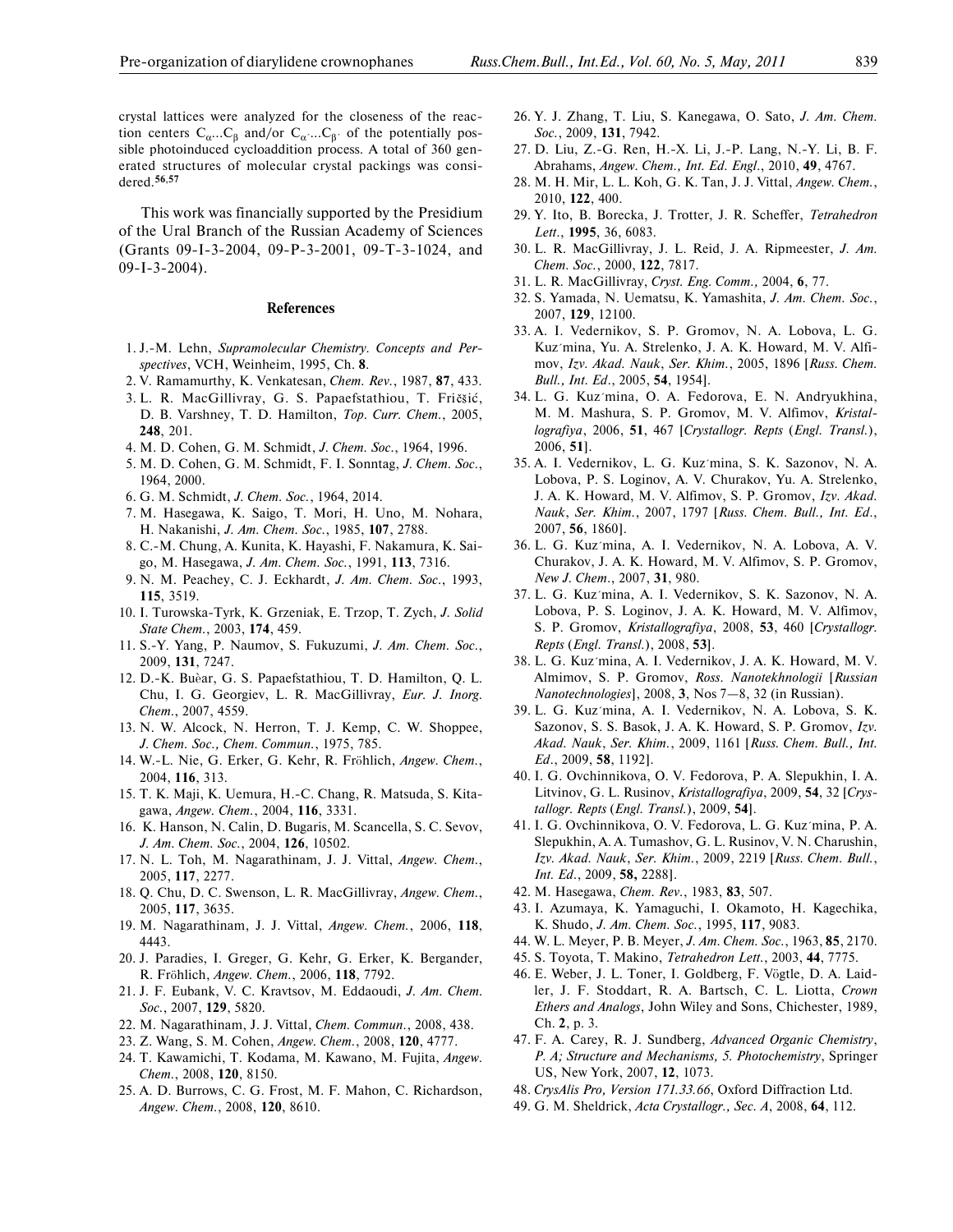This work was financially supported by the Presidium of the Ural Branch of the Russian Academy of Sciences (Grants 09-I-3-2004, 09-P-3-2001, 09-T-3-1024, and 09-I-3-2004).

## **References**

- 1. J.-M. Lehn, *Supramolecular Chemistry. Concepts and Per spectives*, VCH, Weinheim, 1995, Ch. **8**.
- 2. V. Ramamurthy, K. Venkatesan, *Chem. Rev.*, 1987, **87**, 433.
- 3. L. R. MacGillivray, G. S. Papaefstathiou, T. Fričšić,
- D. B. Varshney, T. D. Hamilton, *Top. Curr. Chem.*, 2005, **248**, 201.
- 4. M. D. Cohen, G. M. Schmidt, *J. Chem. Soc.*, 1964, 1996.
- 5. M. D. Cohen, G. M. Schmidt, F. I. Sonntag, *J. Chem. Soc.*, 1964, 2000.
- 6. G. M. Schmidt, *J. Chem. Soc.*, 1964, 2014.
- 7. M. Hasegawa, K. Saigo, T. Mori, H. Uno, M. Nohara, H. Nakanishi, *J. Am. Chem. Soc.*, 1985, **107**, 2788.
- 8. C.-M. Chung, A. Kunita, K. Hayashi, F. Nakamura, K. Sai go, M. Hasegawa, *J. Am. Chem. Soc.*, 1991, **113**, 7316.
- 9. N. M. Peachey, C. J. Eckhardt, *J. Am. Chem. Soc.*, 1993, **115**, 3519.
- 10. I. Turowska-Tyrk, K. Grzeniak, E. Trzop, T. Zych, *J. Solid State Chem.*, 2003, **174**, 459.
- 11. S.-Y. Yang, P. Naumov, S. Fukuzumi, *J. Am. Chem. Soc.*, 2009, **131**, 7247.
- 12. D.-K. Buèar, G. S. Papaefstathiou, T. D. Hamilton, Q. L. Chu, I. G. Georgiev, L. R. MacGillivray, *Eur. J. Inorg. Chem.*, 2007, 4559.
- 13. N. W. Alcock, N. Herron, T. J. Kemp, C. W. Shoppee, *J. Chem. Soc., Chem. Commun.*, 1975, 785.
- 14. W.-L. Nie, G. Erker, G. Kehr, R. Fröhlich, *Angew. Chem.*, 2004, **116**, 313.
- 15. T. K. Maji, K. Uemura, H.-C. Chang, R. Matsuda, S. Kita gawa, *Angew. Chem.*, 2004, **116**, 3331.
- 16. K. Hanson, N. Calin, D. Bugaris, M. Scancella, S. C. Sevov, *J. Am. Chem. Soc.*, 2004, **126**, 10502.
- 17. N. L. Toh, M. Nagarathinam, J. J. Vittal, *Angew. Chem.*, 2005, **117**, 2277.
- 18. Q. Chu, D. C. Swenson, L. R. MacGillivray, *Angew. Chem.*, 2005, **117**, 3635.
- 19. M. Nagarathinam, J. J. Vittal, *Angew. Chem.*, 2006, **118**, 4443.
- 20. J. Paradies, I. Greger, G. Kehr, G. Erker, K. Bergander, R. Fröhlich, *Angew. Chem.*, 2006, **118**, 7792.
- 21. J. F. Eubank, V. C. Kravtsov, M. Eddaoudi, *J. Am. Chem. Soc.*, 2007, **129**, 5820.
- 22. M. Nagarathinam, J. J. Vittal, *Chem. Commun.*, 2008, 438.
- 23. Z. Wang, S. M. Cohen, *Angew. Chem.*, 2008, **120**, 4777.
- 24. T. Kawamichi, T. Kodama, M. Kawano, M. Fujita, *Angew. Chem.*, 2008, **120**, 8150.
- 25. A. D. Burrows, C. G. Frost, M. F. Mahon, C. Richardson, *Angew. Chem.*, 2008, **120**, 8610.
- 26. Y. J. Zhang, T. Liu, S. Kanegawa, O. Sato, *J. Am. Chem. Soc.*, 2009, **131**, 7942.
- 27. D. Liu, Z.-G. Ren, H.-X. Li, J.-P. Lang, N.-Y. Li, B. F. Abrahams, *Angew. Chem., Int. Ed. Engl*., 2010, **49**, 4767.
- 28. M. H. Mir, L. L. Koh, G. K. Tan, J. J. Vittal, *Angew. Chem.*, 2010, **122**, 400.
- 29. Y. Ito, B. Borecka, J. Trotter, J. R. Scheffer, *Tetrahedron Lett*., **1995**, 36, 6083.
- 30. L. R. MacGillivray, J. L. Reid, J. A. Ripmeester, *J. Am. Chem. Soc.*, 2000, **122**, 7817.
- 31. L. R. MacGillivray, *Cryst. Eng. Comm.,* 2004, **6**, 77.
- 32. S. Yamada, N. Uematsu, K. Yamashita, *J. Am. Chem. Soc.*, 2007, **129**, 12100.
- 33. A. I. Vedernikov, S. P. Gromov, N. A. Lobova, L. G. Kuz´mina, Yu. A. Strelenko, J. A. K. Howard, M. V. Alfi mov, *Izv. Akad. Nauk*, *Ser. Khim.*, 2005, 1896 [*Russ. Chem. Bull., Int. Ed*., 2005, **54**, 1954].
- 34. L. G. Kuz´mina, O. A. Fedorova, E. N. Andryukhina, M. M. Mashura, S. P. Gromov, M. V. Alfimov, *Kristal lografiya*, 2006, **51**, 467 [*Crystallogr. Repts* (*Engl. Transl.*), 2006, **51**].
- 35. A. I. Vedernikov, L. G. Kuz´mina, S. K. Sazonov, N. A. Lobova, P. S. Loginov, A. V. Churakov, Yu. A. Strelenko, J. A. K. Howard, M. V. Alfimov, S. P. Gromov, *Izv. Akad. Nauk*, *Ser. Khim.*, 2007, 1797 [*Russ. Chem. Bull., Int. Ed*., 2007, **56**, 1860].
- 36. L. G. Kuz´mina, A. I. Vedernikov, N. A. Lobova, A. V. Churakov, J. A. K. Howard, M. V. Alfimov, S. P. Gromov, *New J. Chem*., 2007, **31**, 980.
- 37. L. G. Kuz´mina, A. I. Vedernikov, S. K. Sazonov, N. A. Lobova, P. S. Loginov, J. A. K. Howard, M. V. Alfimov, S. P. Gromov, *Kristallografiya*, 2008, **53**, 460 [*Crystallogr. Repts* (*Engl. Transl.*), 2008, **53**].
- 38. L. G. Kuz´mina, A. I. Vedernikov, J. A. K. Howard, M. V. Almimov, S. P. Gromov, *Ross. Nanotekhnologii* [*Russian Nanotechnologies*], 2008, **3**, Nos 7—8, 32 (in Russian).
- 39. L. G. Kuz´mina, A. I. Vedernikov, N. A. Lobova, S. K. Sazonov, S. S. Basok, J. A. K. Howard, S. P. Gromov, *Izv. Akad. Nauk*, *Ser. Khim.*, 2009, 1161 [*Russ. Chem. Bull., Int. Ed*., 2009, **58**, 1192].
- 40. I. G. Ovchinnikova, O. V. Fedorova, P. A. Slepukhin, I. A. Litvinov, G. L. Rusinov, *Kristallografiya*, 2009, **54**, 32 [*Crys tallogr. Repts* (*Engl. Transl.*), 2009, **54**].
- 41. I. G. Ovchinnikova, O. V. Fedorova, L. G. Kuz´mina, P. A. Slepukhin, A. A. Tumashov, G. L. Rusinov, V. N. Charushin, *Izv. Akad. Nauk*, *Ser. Khim.*, 2009, 2219 [*Russ. Chem. Bull.*, *Int. Ed*., 2009, **58,** 2288].
- 42. M. Hasegawa, *Chem. Rev.*, 1983, **83**, 507.
- 43. I. Azumaya, K. Yamaguchi, I. Okamoto, H. Kagechika, K. Shudo, *J. Am. Chem. Soc.*, 1995, **117**, 9083.
- 44. W. L. Meyer, P. B. Meyer, *J. Am. Chem. Soc.*, 1963, **85**, 2170.
- 45. S. Toyota, T. Makino, *Tetrahedron Lett.*, 2003, **44**, 7775.
- 46. E. Weber, J. L. Toner, I. Goldberg, F. Vögtle, D. A. Laid ler, J. F. Stoddart, R. A. Bartsch, C. L. Liotta, *Crown Ethers and Analogs*, John Wiley and Sons, Chichester, 1989, Ch. **2**, p. 3.
- 47. F. A. Carey, R. J. Sundberg, *Advanced Organic Chemistry*, *P. A; Structure and Mechanisms, 5. Photochemistry*, Springer US, New York, 2007, **12**, 1073.
- 48. *CrysAlis Pro, Version 171.33.66*, Oxford Diffraction Ltd.
- 49. G. M. Sheldrick, *Acta Crystallogr., Sec. A*, 2008, **64**, 112.